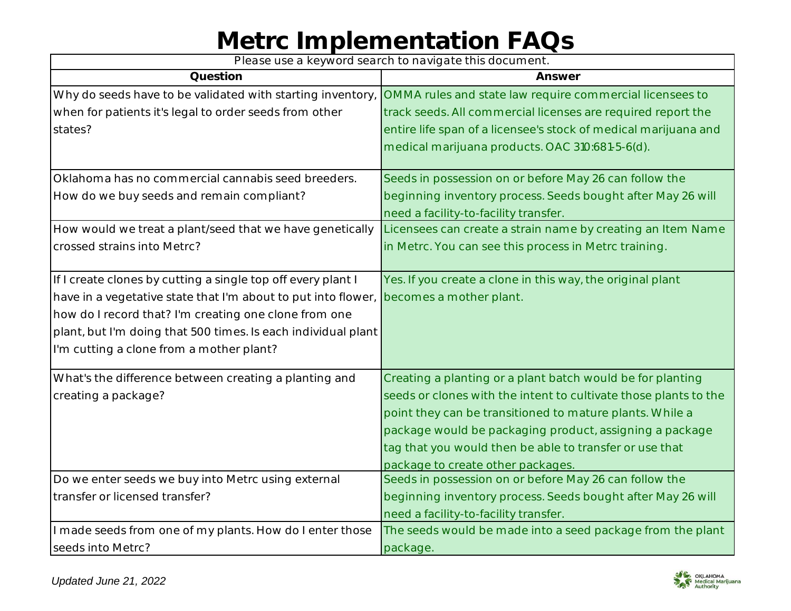*Please use a keyword search to navigate this document.*

| Question                                                      | Answer                                                           |
|---------------------------------------------------------------|------------------------------------------------------------------|
| Why do seeds have to be validated with starting inventory,    | OMMA rules and state law require commercial licensees to         |
| when for patients it's legal to order seeds from other        | track seeds. All commercial licenses are required report the     |
| states?                                                       | entire life span of a licensee's stock of medical marijuana and  |
|                                                               | medical marijuana products. OAC 310:681-5-6(d).                  |
| Oklahoma has no commercial cannabis seed breeders.            | Seeds in possession on or before May 26 can follow the           |
| How do we buy seeds and remain compliant?                     | beginning inventory process. Seeds bought after May 26 will      |
|                                                               | need a facility-to-facility transfer.                            |
| How would we treat a plant/seed that we have genetically      | Licensees can create a strain name by creating an Item Name      |
| crossed strains into Metrc?                                   | in Metrc. You can see this process in Metrc training.            |
| If I create clones by cutting a single top off every plant I  | Yes. If you create a clone in this way, the original plant       |
| have in a vegetative state that I'm about to put into flower, | becomes a mother plant.                                          |
| how do I record that? I'm creating one clone from one         |                                                                  |
| plant, but I'm doing that 500 times. Is each individual plant |                                                                  |
| I'm cutting a clone from a mother plant?                      |                                                                  |
| What's the difference between creating a planting and         | Creating a planting or a plant batch would be for planting       |
| creating a package?                                           | seeds or clones with the intent to cultivate those plants to the |
|                                                               | point they can be transitioned to mature plants. While a         |
|                                                               | package would be packaging product, assigning a package          |
|                                                               | tag that you would then be able to transfer or use that          |
|                                                               | package to create other packages.                                |
| Do we enter seeds we buy into Metrc using external            | Seeds in possession on or before May 26 can follow the           |
| transfer or licensed transfer?                                | beginning inventory process. Seeds bought after May 26 will      |
|                                                               | need a facility-to-facility transfer.                            |
| I made seeds from one of my plants. How do I enter those      | The seeds would be made into a seed package from the plant       |
| seeds into Metrc?                                             | package.                                                         |

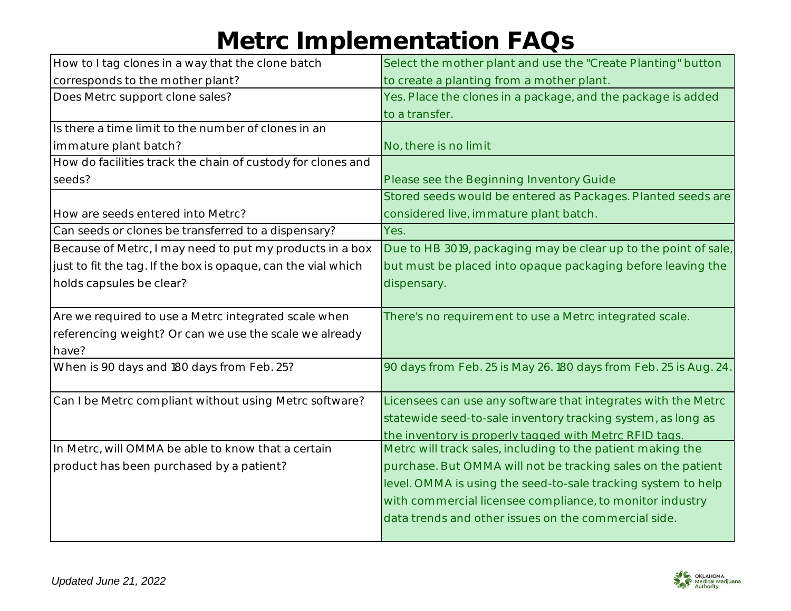| How to I tag clones in a way that the clone batch             | Select the mother plant and use the "Create Planting" button      |
|---------------------------------------------------------------|-------------------------------------------------------------------|
| corresponds to the mother plant?                              | to create a planting from a mother plant.                         |
| Does Metrc support clone sales?                               | Yes. Place the clones in a package, and the package is added      |
|                                                               | to a transfer.                                                    |
| Is there a time limit to the number of clones in an           |                                                                   |
| immature plant batch?                                         | No, there is no limit                                             |
| How do facilities track the chain of custody for clones and   |                                                                   |
| seeds?                                                        | Please see the Beginning Inventory Guide                          |
|                                                               | Stored seeds would be entered as Packages. Planted seeds are      |
| How are seeds entered into Metrc?                             | considered live, immature plant batch.                            |
| Can seeds or clones be transferred to a dispensary?           | Yes.                                                              |
| Because of Metrc, I may need to put my products in a box      | Due to HB 3019, packaging may be clear up to the point of sale,   |
| just to fit the tag. If the box is opaque, can the vial which | but must be placed into opaque packaging before leaving the       |
| holds capsules be clear?                                      | dispensary.                                                       |
|                                                               |                                                                   |
| Are we required to use a Metrc integrated scale when          | There's no requirement to use a Metrc integrated scale.           |
| referencing weight? Or can we use the scale we already        |                                                                   |
| have?                                                         |                                                                   |
| When is 90 days and 180 days from Feb. 25?                    | 90 days from Feb. 25 is May 26. 180 days from Feb. 25 is Aug. 24. |
|                                                               |                                                                   |
| Can I be Metrc compliant without using Metrc software?        | Licensees can use any software that integrates with the Metrc     |
|                                                               | statewide seed-to-sale inventory tracking system, as long as      |
|                                                               | the inventory is properly tagged with Metrc RFID tags.            |
| In Metrc, will OMMA be able to know that a certain            | Metrc will track sales, including to the patient making the       |
| product has been purchased by a patient?                      | purchase. But OMMA will not be tracking sales on the patient      |
|                                                               | level. OMMA is using the seed-to-sale tracking system to help     |
|                                                               | with commercial licensee compliance, to monitor industry          |
|                                                               | data trends and other issues on the commercial side.              |
|                                                               |                                                                   |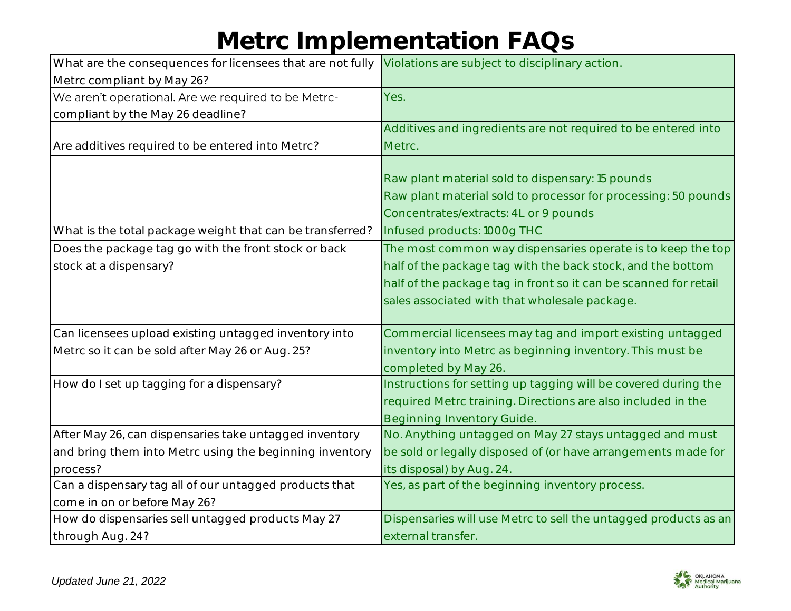| What are the consequences for licensees that are not fully | Violations are subject to disciplinary action.                   |
|------------------------------------------------------------|------------------------------------------------------------------|
| Metrc compliant by May 26?                                 |                                                                  |
| We aren't operational. Are we required to be Metrc-        | Yes.                                                             |
| compliant by the May 26 deadline?                          |                                                                  |
|                                                            | Additives and ingredients are not required to be entered into    |
| Are additives required to be entered into Metrc?           | Metrc.                                                           |
|                                                            |                                                                  |
|                                                            | Raw plant material sold to dispensary: 15 pounds                 |
|                                                            | Raw plant material sold to processor for processing: 50 pounds   |
|                                                            | Concentrates/extracts: 4L or 9 pounds                            |
| What is the total package weight that can be transferred?  | Infused products: 1000g THC                                      |
| Does the package tag go with the front stock or back       | The most common way dispensaries operate is to keep the top      |
| stock at a dispensary?                                     | half of the package tag with the back stock, and the bottom      |
|                                                            | half of the package tag in front so it can be scanned for retail |
|                                                            | sales associated with that wholesale package.                    |
|                                                            |                                                                  |
| Can licensees upload existing untagged inventory into      | Commercial licensees may tag and import existing untagged        |
| Metrc so it can be sold after May 26 or Aug. 25?           | inventory into Metrc as beginning inventory. This must be        |
|                                                            | completed by May 26.                                             |
| How do I set up tagging for a dispensary?                  | Instructions for setting up tagging will be covered during the   |
|                                                            | required Metrc training. Directions are also included in the     |
|                                                            | <b>Beginning Inventory Guide.</b>                                |
| After May 26, can dispensaries take untagged inventory     | No. Anything untagged on May 27 stays untagged and must          |
| and bring them into Metrc using the beginning inventory    | be sold or legally disposed of (or have arrangements made for    |
| process?                                                   | its disposal) by Aug. 24.                                        |
| Can a dispensary tag all of our untagged products that     | Yes, as part of the beginning inventory process.                 |
| come in on or before May 26?                               |                                                                  |
| How do dispensaries sell untagged products May 27          | Dispensaries will use Metrc to sell the untagged products as an  |
| through Aug. 24?                                           | external transfer.                                               |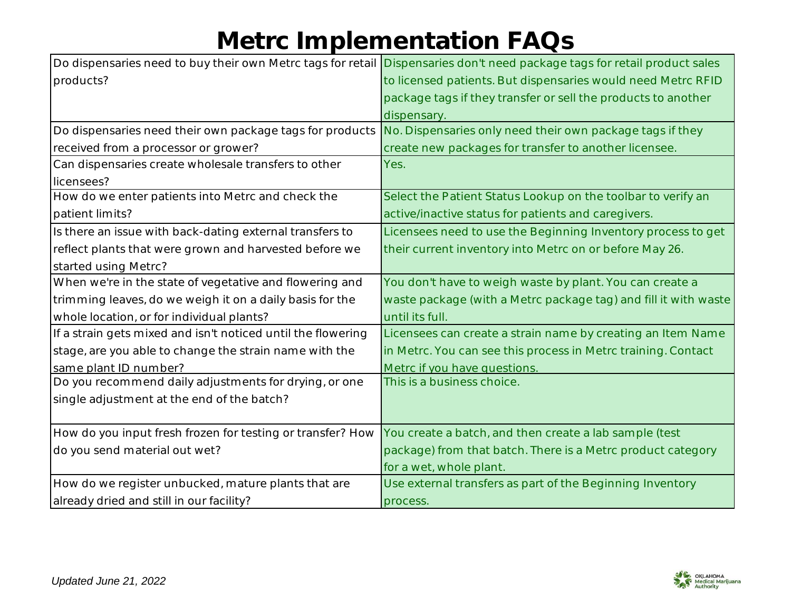|                                                              | Do dispensaries need to buy their own Metrc tags for retail Dispensaries don't need package tags for retail product sales |
|--------------------------------------------------------------|---------------------------------------------------------------------------------------------------------------------------|
| products?                                                    | to licensed patients. But dispensaries would need Metrc RFID                                                              |
|                                                              | package tags if they transfer or sell the products to another                                                             |
|                                                              | dispensary.                                                                                                               |
| Do dispensaries need their own package tags for products     | No. Dispensaries only need their own package tags if they                                                                 |
| received from a processor or grower?                         | create new packages for transfer to another licensee.                                                                     |
| Can dispensaries create wholesale transfers to other         | Yes.                                                                                                                      |
| licensees?                                                   |                                                                                                                           |
| How do we enter patients into Metrc and check the            | Select the Patient Status Lookup on the toolbar to verify an                                                              |
| patient limits?                                              | active/inactive status for patients and caregivers.                                                                       |
| Is there an issue with back-dating external transfers to     | Licensees need to use the Beginning Inventory process to get                                                              |
| reflect plants that were grown and harvested before we       | their current inventory into Metrc on or before May 26.                                                                   |
| started using Metrc?                                         |                                                                                                                           |
| When we're in the state of vegetative and flowering and      | You don't have to weigh waste by plant. You can create a                                                                  |
| trimming leaves, do we weigh it on a daily basis for the     | waste package (with a Metrc package tag) and fill it with waste                                                           |
| whole location, or for individual plants?                    | until its full.                                                                                                           |
| If a strain gets mixed and isn't noticed until the flowering | Licensees can create a strain name by creating an Item Name                                                               |
| stage, are you able to change the strain name with the       | in Metrc. You can see this process in Metrc training. Contact                                                             |
| same plant ID number?                                        | Metrc if you have questions.                                                                                              |
| Do you recommend daily adjustments for drying, or one        | This is a business choice.                                                                                                |
| single adjustment at the end of the batch?                   |                                                                                                                           |
|                                                              |                                                                                                                           |
| How do you input fresh frozen for testing or transfer? How   | You create a batch, and then create a lab sample (test                                                                    |
| do you send material out wet?                                | package) from that batch. There is a Metrc product category                                                               |
|                                                              | for a wet, whole plant.                                                                                                   |
| How do we register unbucked, mature plants that are          | Use external transfers as part of the Beginning Inventory                                                                 |
| already dried and still in our facility?                     | process.                                                                                                                  |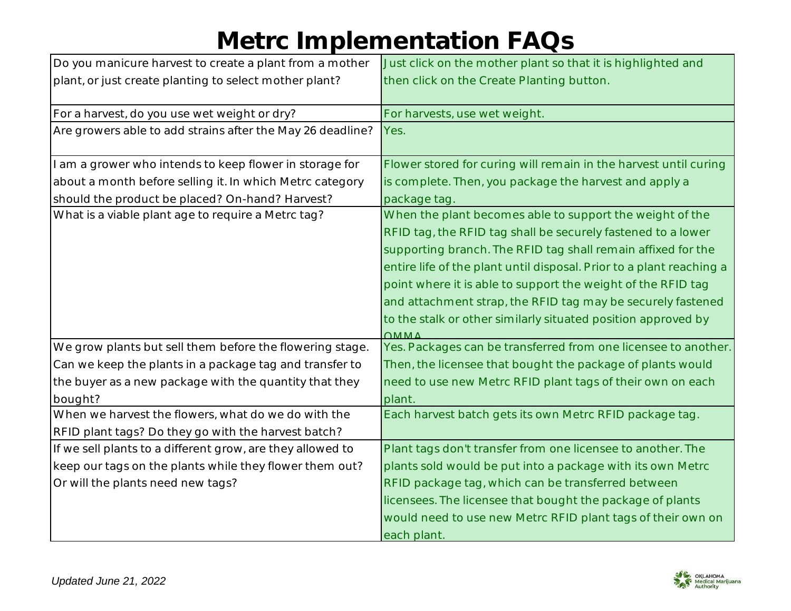| Do you manicure harvest to create a plant from a mother    | Just click on the mother plant so that it is highlighted and         |
|------------------------------------------------------------|----------------------------------------------------------------------|
| plant, or just create planting to select mother plant?     | then click on the Create Planting button.                            |
|                                                            |                                                                      |
| For a harvest, do you use wet weight or dry?               | For harvests, use wet weight.                                        |
| Are growers able to add strains after the May 26 deadline? | Yes.                                                                 |
|                                                            |                                                                      |
| I am a grower who intends to keep flower in storage for    | Flower stored for curing will remain in the harvest until curing     |
| about a month before selling it. In which Metrc category   | is complete. Then, you package the harvest and apply a               |
| should the product be placed? On-hand? Harvest?            | package tag.                                                         |
| What is a viable plant age to require a Metrc tag?         | When the plant becomes able to support the weight of the             |
|                                                            | RFID tag, the RFID tag shall be securely fastened to a lower         |
|                                                            | supporting branch. The RFID tag shall remain affixed for the         |
|                                                            | entire life of the plant until disposal. Prior to a plant reaching a |
|                                                            | point where it is able to support the weight of the RFID tag         |
|                                                            | and attachment strap, the RFID tag may be securely fastened          |
|                                                            | to the stalk or other similarly situated position approved by        |
|                                                            | $\bigcap$ MA $\bigcap$                                               |
| We grow plants but sell them before the flowering stage.   | Yes. Packages can be transferred from one licensee to another.       |
| Can we keep the plants in a package tag and transfer to    | Then, the licensee that bought the package of plants would           |
| the buyer as a new package with the quantity that they     | need to use new Metrc RFID plant tags of their own on each           |
| bought?                                                    | plant.                                                               |
| When we harvest the flowers, what do we do with the        | Each harvest batch gets its own Metrc RFID package tag.              |
| RFID plant tags? Do they go with the harvest batch?        |                                                                      |
| If we sell plants to a different grow, are they allowed to | Plant tags don't transfer from one licensee to another. The          |
| keep our tags on the plants while they flower them out?    | plants sold would be put into a package with its own Metrc           |
| Or will the plants need new tags?                          | RFID package tag, which can be transferred between                   |
|                                                            | licensees. The licensee that bought the package of plants            |
|                                                            | would need to use new Metrc RFID plant tags of their own on          |
|                                                            | each plant.                                                          |

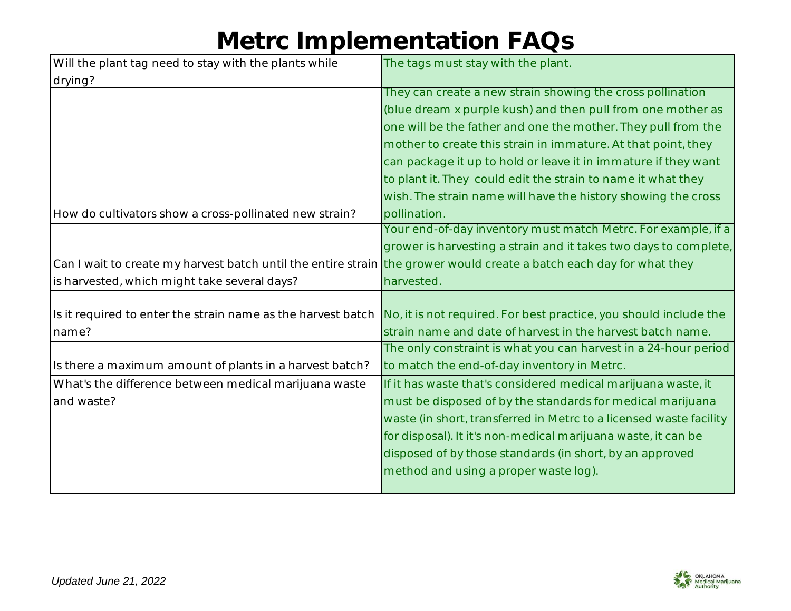| Will the plant tag need to stay with the plants while                                                                | The tags must stay with the plant.                                 |
|----------------------------------------------------------------------------------------------------------------------|--------------------------------------------------------------------|
| drying?                                                                                                              |                                                                    |
|                                                                                                                      | They can create a new strain showing the cross pollination         |
|                                                                                                                      | (blue dream x purple kush) and then pull from one mother as        |
|                                                                                                                      | one will be the father and one the mother. They pull from the      |
|                                                                                                                      | mother to create this strain in immature. At that point, they      |
|                                                                                                                      | can package it up to hold or leave it in immature if they want     |
|                                                                                                                      | to plant it. They could edit the strain to name it what they       |
|                                                                                                                      | wish. The strain name will have the history showing the cross      |
| How do cultivators show a cross-pollinated new strain?                                                               | pollination.                                                       |
|                                                                                                                      | Your end-of-day inventory must match Metrc. For example, if a      |
|                                                                                                                      | grower is harvesting a strain and it takes two days to complete,   |
| Can I wait to create my harvest batch until the entire strain the grower would create a batch each day for what they |                                                                    |
| is harvested, which might take several days?                                                                         | harvested.                                                         |
|                                                                                                                      |                                                                    |
| Is it required to enter the strain name as the harvest batch                                                         | No, it is not required. For best practice, you should include the  |
| name?                                                                                                                | strain name and date of harvest in the harvest batch name.         |
|                                                                                                                      | The only constraint is what you can harvest in a 24-hour period    |
| Is there a maximum amount of plants in a harvest batch?                                                              | to match the end-of-day inventory in Metrc.                        |
|                                                                                                                      |                                                                    |
| What's the difference between medical marijuana waste                                                                | If it has waste that's considered medical marijuana waste, it      |
| and waste?                                                                                                           | must be disposed of by the standards for medical marijuana         |
|                                                                                                                      | waste (in short, transferred in Metrc to a licensed waste facility |
|                                                                                                                      | for disposal). It it's non-medical marijuana waste, it can be      |
|                                                                                                                      | disposed of by those standards (in short, by an approved           |
|                                                                                                                      | method and using a proper waste log).                              |

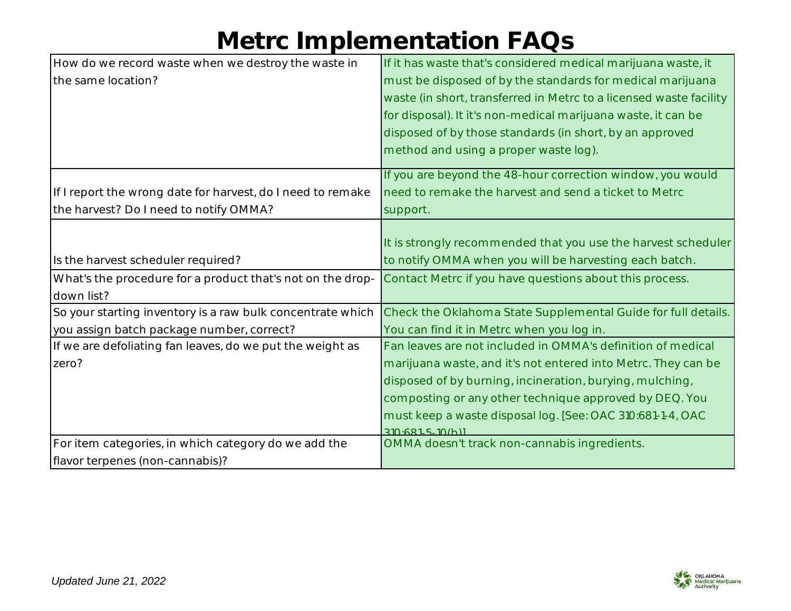| How do we record waste when we destroy the waste in         | If it has waste that's considered medical marijuana waste, it      |
|-------------------------------------------------------------|--------------------------------------------------------------------|
| the same location?                                          | must be disposed of by the standards for medical marijuana         |
|                                                             | waste (in short, transferred in Metrc to a licensed waste facility |
|                                                             | for disposal). It it's non-medical marijuana waste, it can be      |
|                                                             | disposed of by those standards (in short, by an approved           |
|                                                             | method and using a proper waste log).                              |
|                                                             | If you are beyond the 48-hour correction window, you would         |
| If I report the wrong date for harvest, do I need to remake | need to remake the harvest and send a ticket to Metrc              |
| the harvest? Do I need to notify OMMA?                      | support.                                                           |
|                                                             |                                                                    |
|                                                             | It is strongly recommended that you use the harvest scheduler      |
| Is the harvest scheduler required?                          | to notify OMMA when you will be harvesting each batch.             |
| What's the procedure for a product that's not on the drop-  | Contact Metrc if you have questions about this process.            |
| down list?                                                  |                                                                    |
| So your starting inventory is a raw bulk concentrate which  | Check the Oklahoma State Supplemental Guide for full details.      |
| you assign batch package number, correct?                   | You can find it in Metrc when you log in.                          |
| If we are defoliating fan leaves, do we put the weight as   | Fan leaves are not included in OMMA's definition of medical        |
| zero?                                                       | marijuana waste, and it's not entered into Metrc. They can be      |
|                                                             | disposed of by burning, incineration, burying, mulching,           |
|                                                             | composting or any other technique approved by DEQ. You             |
|                                                             | must keep a waste disposal log. [See: OAC 310:681-1-4, OAC         |
|                                                             | 310.6815.10(h)                                                     |
| For item categories, in which category do we add the        | OMMA doesn't track non-cannabis ingredients.                       |
| flavor terpenes (non-cannabis)?                             |                                                                    |

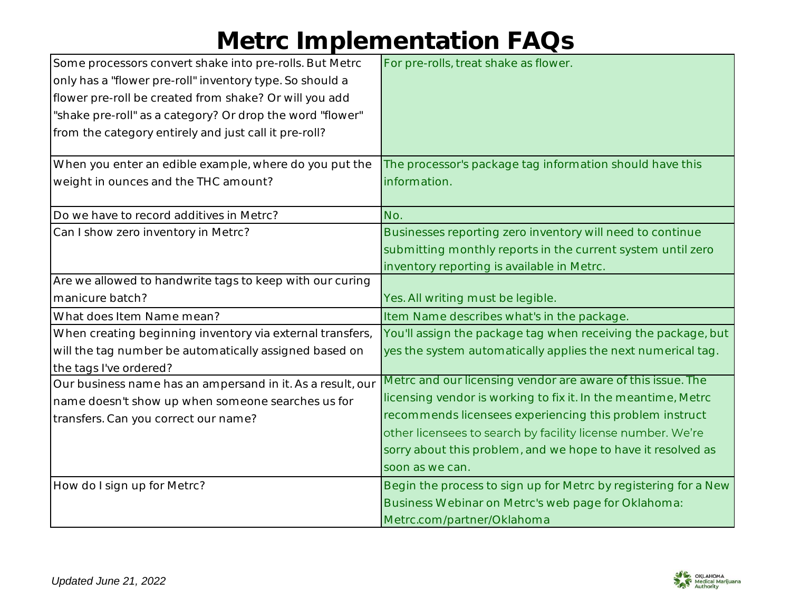| Some processors convert shake into pre-rolls. But Metrc    | For pre-rolls, treat shake as flower.                           |
|------------------------------------------------------------|-----------------------------------------------------------------|
| only has a "flower pre-roll" inventory type. So should a   |                                                                 |
| flower pre-roll be created from shake? Or will you add     |                                                                 |
| "shake pre-roll" as a category? Or drop the word "flower"  |                                                                 |
| from the category entirely and just call it pre-roll?      |                                                                 |
|                                                            |                                                                 |
| When you enter an edible example, where do you put the     | The processor's package tag information should have this        |
| weight in ounces and the THC amount?                       | information.                                                    |
|                                                            |                                                                 |
| Do we have to record additives in Metrc?                   | No.                                                             |
| Can I show zero inventory in Metrc?                        | Businesses reporting zero inventory will need to continue       |
|                                                            | submitting monthly reports in the current system until zero     |
|                                                            | inventory reporting is available in Metrc.                      |
| Are we allowed to handwrite tags to keep with our curing   |                                                                 |
| manicure batch?                                            | Yes. All writing must be legible.                               |
| What does Item Name mean?                                  | Item Name describes what's in the package.                      |
| When creating beginning inventory via external transfers,  | You'll assign the package tag when receiving the package, but   |
| will the tag number be automatically assigned based on     | yes the system automatically applies the next numerical tag.    |
| the tags I've ordered?                                     |                                                                 |
| Our business name has an ampersand in it. As a result, our | Metrc and our licensing vendor are aware of this issue. The     |
| name doesn't show up when someone searches us for          | licensing vendor is working to fix it. In the meantime, Metrc   |
| transfers. Can you correct our name?                       | recommends licensees experiencing this problem instruct         |
|                                                            | other licensees to search by facility license number. We're     |
|                                                            | sorry about this problem, and we hope to have it resolved as    |
|                                                            | soon as we can.                                                 |
| How do I sign up for Metrc?                                | Begin the process to sign up for Metrc by registering for a New |
|                                                            | Business Webinar on Metrc's web page for Oklahoma:              |
|                                                            | Metrc.com/partner/Oklahoma                                      |

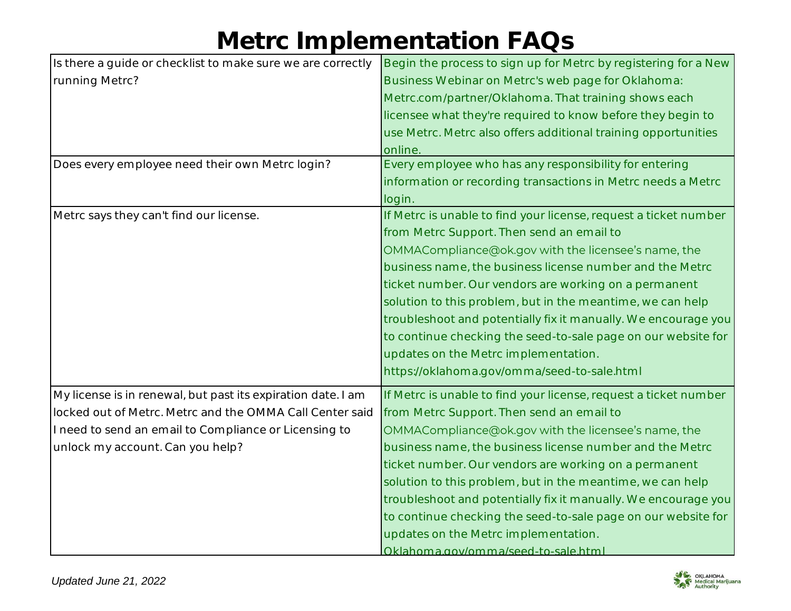| Is there a guide or checklist to make sure we are correctly  | Begin the process to sign up for Metrc by registering for a New  |
|--------------------------------------------------------------|------------------------------------------------------------------|
| running Metrc?                                               | Business Webinar on Metrc's web page for Oklahoma:               |
|                                                              | Metrc.com/partner/Oklahoma. That training shows each             |
|                                                              | licensee what they're required to know before they begin to      |
|                                                              | use Metrc. Metrc also offers additional training opportunities   |
|                                                              | online.                                                          |
| Does every employee need their own Metrc login?              | Every employee who has any responsibility for entering           |
|                                                              | information or recording transactions in Metrc needs a Metrc     |
|                                                              | login.                                                           |
| Metrc says they can't find our license.                      | If Metrc is unable to find your license, request a ticket number |
|                                                              | from Metrc Support. Then send an email to                        |
|                                                              | OMMACompliance@ok.gov with the licensee's name, the              |
|                                                              | business name, the business license number and the Metrc         |
|                                                              | ticket number. Our vendors are working on a permanent            |
|                                                              | solution to this problem, but in the meantime, we can help       |
|                                                              | troubleshoot and potentially fix it manually. We encourage you   |
|                                                              | to continue checking the seed-to-sale page on our website for    |
|                                                              | updates on the Metrc implementation.                             |
|                                                              | https://oklahoma.gov/omma/seed-to-sale.html                      |
| My license is in renewal, but past its expiration date. I am | If Metrc is unable to find your license, request a ticket number |
| locked out of Metrc. Metrc and the OMMA Call Center said     | from Metrc Support. Then send an email to                        |
| I need to send an email to Compliance or Licensing to        | OMMACompliance@ok.gov with the licensee's name, the              |
| unlock my account. Can you help?                             | business name, the business license number and the Metrc         |
|                                                              | ticket number. Our vendors are working on a permanent            |
|                                                              | solution to this problem, but in the meantime, we can help       |
|                                                              | troubleshoot and potentially fix it manually. We encourage you   |
|                                                              | to continue checking the seed-to-sale page on our website for    |
|                                                              | updates on the Metrc implementation.                             |
|                                                              | Oklahoma.gov/omma/seed-to-sale.html                              |

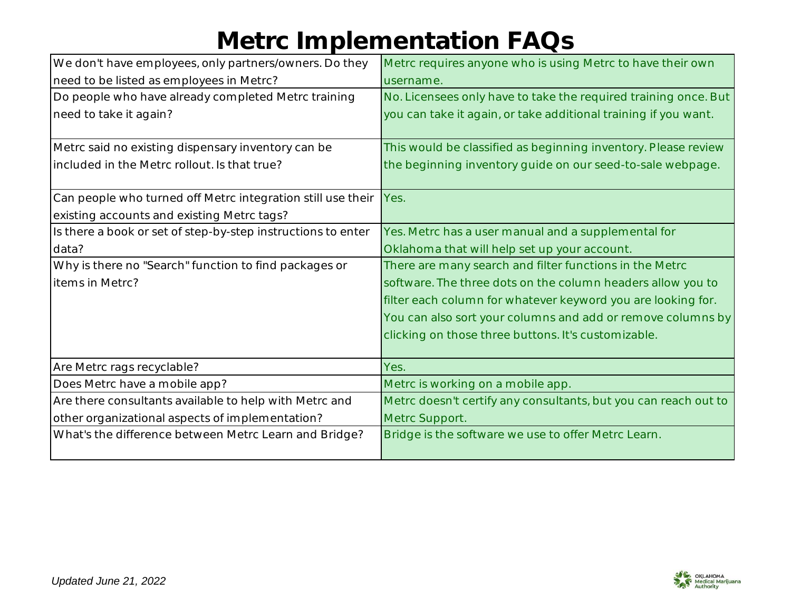| We don't have employees, only partners/owners. Do they       | Metrc requires anyone who is using Metrc to have their own      |
|--------------------------------------------------------------|-----------------------------------------------------------------|
| need to be listed as employees in Metrc?                     | username.                                                       |
| Do people who have already completed Metrc training          | No. Licensees only have to take the required training once. But |
| need to take it again?                                       | you can take it again, or take additional training if you want. |
| Metrc said no existing dispensary inventory can be           | This would be classified as beginning inventory. Please review  |
| included in the Metrc rollout. Is that true?                 | the beginning inventory guide on our seed-to-sale webpage.      |
| Can people who turned off Metrc integration still use their  | Yes.                                                            |
| existing accounts and existing Metrc tags?                   |                                                                 |
| Is there a book or set of step-by-step instructions to enter | Yes. Metrc has a user manual and a supplemental for             |
| data?                                                        | Oklahoma that will help set up your account.                    |
| Why is there no "Search" function to find packages or        | There are many search and filter functions in the Metrc         |
| items in Metrc?                                              | software. The three dots on the column headers allow you to     |
|                                                              | filter each column for whatever keyword you are looking for.    |
|                                                              | You can also sort your columns and add or remove columns by     |
|                                                              | clicking on those three buttons. It's customizable.             |
| Are Metrc rags recyclable?                                   | Yes.                                                            |
| Does Metrc have a mobile app?                                | Metrc is working on a mobile app.                               |
| Are there consultants available to help with Metrc and       | Metrc doesn't certify any consultants, but you can reach out to |
| other organizational aspects of implementation?              | Metrc Support.                                                  |
| What's the difference between Metrc Learn and Bridge?        | Bridge is the software we use to offer Metrc Learn.             |

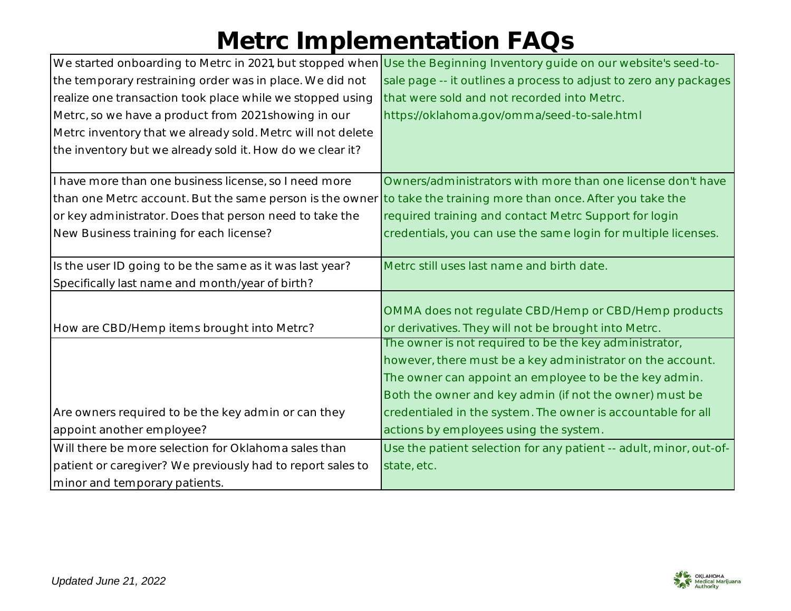|                                                             | We started onboarding to Metrc in 2021, but stopped when Use the Beginning Inventory guide on our website's seed-to- |
|-------------------------------------------------------------|----------------------------------------------------------------------------------------------------------------------|
| the temporary restraining order was in place. We did not    | sale page -- it outlines a process to adjust to zero any packages                                                    |
| realize one transaction took place while we stopped using   | that were sold and not recorded into Metrc.                                                                          |
| Metrc, so we have a product from 2021 showing in our        | https://oklahoma.gov/omma/seed-to-sale.html                                                                          |
| Metrc inventory that we already sold. Metrc will not delete |                                                                                                                      |
| the inventory but we already sold it. How do we clear it?   |                                                                                                                      |
|                                                             |                                                                                                                      |
| I have more than one business license, so I need more       | Owners/administrators with more than one license don't have                                                          |
| than one Metrc account. But the same person is the owner    | to take the training more than once. After you take the                                                              |
| or key administrator. Does that person need to take the     | required training and contact Metrc Support for login                                                                |
| New Business training for each license?                     | credentials, you can use the same login for multiple licenses.                                                       |
|                                                             |                                                                                                                      |
| Is the user ID going to be the same as it was last year?    | Metrc still uses last name and birth date.                                                                           |
| Specifically last name and month/year of birth?             |                                                                                                                      |
|                                                             |                                                                                                                      |
|                                                             | OMMA does not regulate CBD/Hemp or CBD/Hemp products                                                                 |
| How are CBD/Hemp items brought into Metrc?                  | or derivatives. They will not be brought into Metrc.                                                                 |
|                                                             | The owner is not required to be the key administrator,                                                               |
|                                                             | however, there must be a key administrator on the account.                                                           |
|                                                             | The owner can appoint an employee to be the key admin.                                                               |
|                                                             | Both the owner and key admin (if not the owner) must be                                                              |
| Are owners required to be the key admin or can they         | credentialed in the system. The owner is accountable for all                                                         |
| appoint another employee?                                   | actions by employees using the system.                                                                               |
| Will there be more selection for Oklahoma sales than        | Use the patient selection for any patient -- adult, minor, out-of-                                                   |
| patient or caregiver? We previously had to report sales to  | state, etc.                                                                                                          |
| minor and temporary patients.                               |                                                                                                                      |

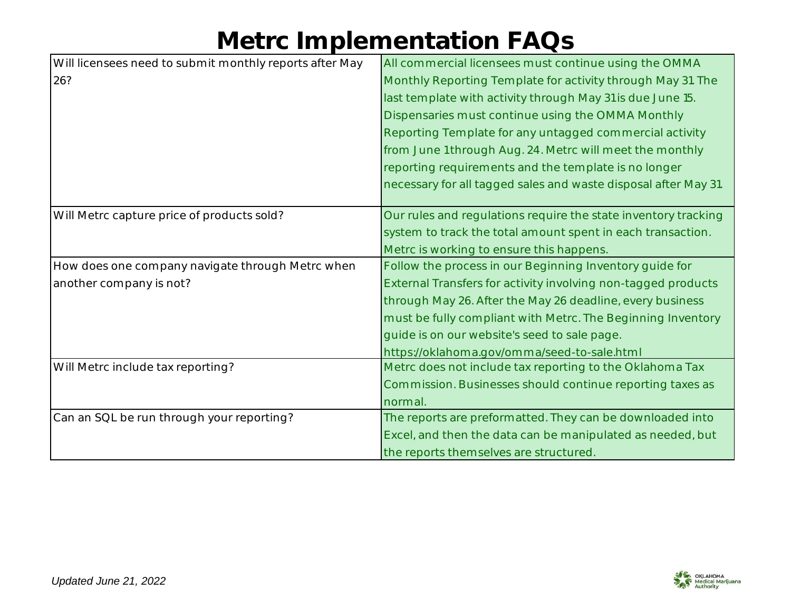| Will licensees need to submit monthly reports after May | All commercial licensees must continue using the OMMA           |
|---------------------------------------------------------|-----------------------------------------------------------------|
| 26?                                                     | Monthly Reporting Template for activity through May 31. The     |
|                                                         | last template with activity through May 31 is due June 15.      |
|                                                         | Dispensaries must continue using the OMMA Monthly               |
|                                                         | Reporting Template for any untagged commercial activity         |
|                                                         | from June 1 through Aug. 24. Metrc will meet the monthly        |
|                                                         | reporting requirements and the template is no longer            |
|                                                         | necessary for all tagged sales and waste disposal after May 31. |
|                                                         |                                                                 |
| Will Metrc capture price of products sold?              | Our rules and regulations require the state inventory tracking  |
|                                                         | system to track the total amount spent in each transaction.     |
|                                                         | Metrc is working to ensure this happens.                        |
| How does one company navigate through Metrc when        | Follow the process in our Beginning Inventory guide for         |
| another company is not?                                 | External Transfers for activity involving non-tagged products   |
|                                                         | through May 26. After the May 26 deadline, every business       |
|                                                         | must be fully compliant with Metrc. The Beginning Inventory     |
|                                                         | guide is on our website's seed to sale page.                    |
|                                                         | https://oklahoma.gov/omma/seed-to-sale.html                     |
| Will Metrc include tax reporting?                       | Metrc does not include tax reporting to the Oklahoma Tax        |
|                                                         | Commission. Businesses should continue reporting taxes as       |
|                                                         | normal.                                                         |
| Can an SQL be run through your reporting?               | The reports are preformatted. They can be downloaded into       |
|                                                         | Excel, and then the data can be manipulated as needed, but      |
|                                                         | the reports themselves are structured.                          |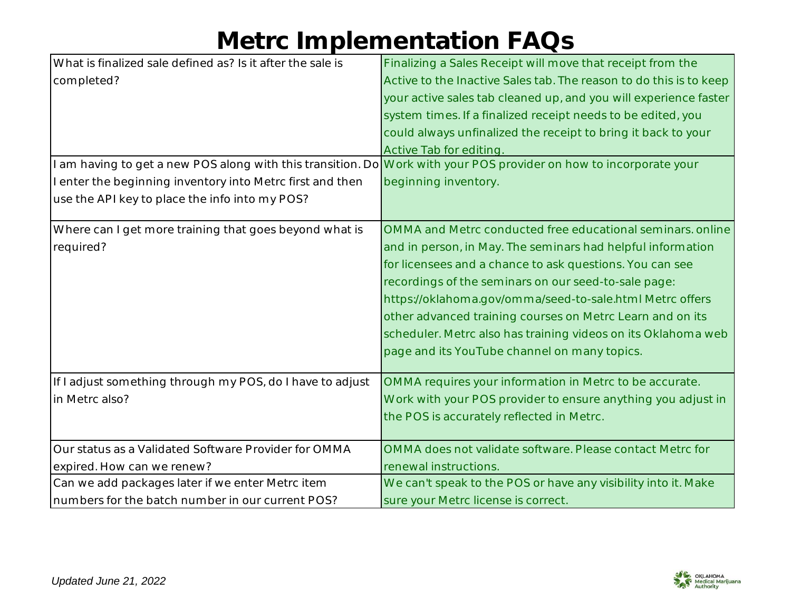| What is finalized sale defined as? Is it after the sale is                                                         | Finalizing a Sales Receipt will move that receipt from the         |
|--------------------------------------------------------------------------------------------------------------------|--------------------------------------------------------------------|
| completed?                                                                                                         | Active to the Inactive Sales tab. The reason to do this is to keep |
|                                                                                                                    | your active sales tab cleaned up, and you will experience faster   |
|                                                                                                                    | system times. If a finalized receipt needs to be edited, you       |
|                                                                                                                    | could always unfinalized the receipt to bring it back to your      |
|                                                                                                                    | Active Tab for editing.                                            |
| I am having to get a new POS along with this transition. Do Work with your POS provider on how to incorporate your |                                                                    |
| I enter the beginning inventory into Metrc first and then                                                          | beginning inventory.                                               |
| use the API key to place the info into my POS?                                                                     |                                                                    |
| Where can I get more training that goes beyond what is                                                             | OMMA and Metrc conducted free educational seminars, online         |
| required?                                                                                                          | and in person, in May. The seminars had helpful information        |
|                                                                                                                    | for licensees and a chance to ask questions. You can see           |
|                                                                                                                    | recordings of the seminars on our seed-to-sale page:               |
|                                                                                                                    | https://oklahoma.gov/omma/seed-to-sale.html Metrc offers           |
|                                                                                                                    | other advanced training courses on Metrc Learn and on its          |
|                                                                                                                    | scheduler. Metrc also has training videos on its Oklahoma web      |
|                                                                                                                    | page and its YouTube channel on many topics.                       |
|                                                                                                                    |                                                                    |
| If I adjust something through my POS, do I have to adjust                                                          | OMMA requires your information in Metrc to be accurate.            |
| in Metrc also?                                                                                                     | Work with your POS provider to ensure anything you adjust in       |
|                                                                                                                    | the POS is accurately reflected in Metrc.                          |
|                                                                                                                    |                                                                    |
| Our status as a Validated Software Provider for OMMA                                                               | OMMA does not validate software. Please contact Metrc for          |
| expired. How can we renew?                                                                                         | renewal instructions.                                              |
| Can we add packages later if we enter Metrc item                                                                   | We can't speak to the POS or have any visibility into it. Make     |
| numbers for the batch number in our current POS?                                                                   | sure your Metrc license is correct.                                |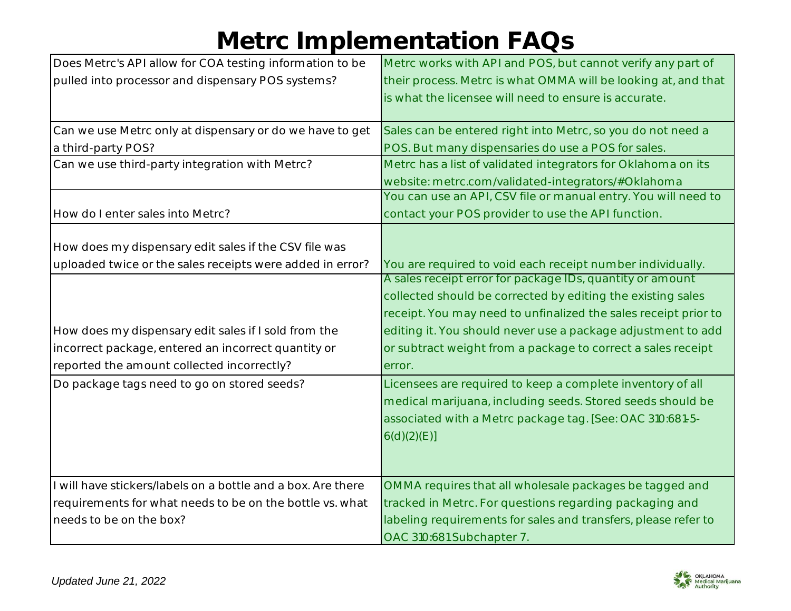| Does Metrc's API allow for COA testing information to be     | Metrc works with API and POS, but cannot verify any part of     |
|--------------------------------------------------------------|-----------------------------------------------------------------|
| pulled into processor and dispensary POS systems?            | their process. Metrc is what OMMA will be looking at, and that  |
|                                                              | is what the licensee will need to ensure is accurate.           |
|                                                              |                                                                 |
| Can we use Metrc only at dispensary or do we have to get     | Sales can be entered right into Metrc, so you do not need a     |
| a third-party POS?                                           | POS. But many dispensaries do use a POS for sales.              |
| Can we use third-party integration with Metrc?               | Metrc has a list of validated integrators for Oklahoma on its   |
|                                                              | website: metrc.com/validated-integrators/#Oklahoma              |
|                                                              | You can use an API, CSV file or manual entry. You will need to  |
| How do I enter sales into Metrc?                             | contact your POS provider to use the API function.              |
|                                                              |                                                                 |
| How does my dispensary edit sales if the CSV file was        |                                                                 |
| uploaded twice or the sales receipts were added in error?    | You are required to void each receipt number individually.      |
|                                                              | A sales receipt error for package IDs, quantity or amount       |
|                                                              | collected should be corrected by editing the existing sales     |
|                                                              | receipt. You may need to unfinalized the sales receipt prior to |
| How does my dispensary edit sales if I sold from the         | editing it. You should never use a package adjustment to add    |
| incorrect package, entered an incorrect quantity or          | or subtract weight from a package to correct a sales receipt    |
| reported the amount collected incorrectly?                   | error.                                                          |
| Do package tags need to go on stored seeds?                  | Licensees are required to keep a complete inventory of all      |
|                                                              | medical marijuana, including seeds. Stored seeds should be      |
|                                                              | associated with a Metrc package tag. [See: OAC 310:681-5-       |
|                                                              | 6(d)(2)(E)]                                                     |
|                                                              |                                                                 |
|                                                              |                                                                 |
| I will have stickers/labels on a bottle and a box. Are there | OMMA requires that all wholesale packages be tagged and         |
| requirements for what needs to be on the bottle vs. what     | tracked in Metrc. For questions regarding packaging and         |
| needs to be on the box?                                      | labeling requirements for sales and transfers, please refer to  |
|                                                              | OAC 310:681 Subchapter 7.                                       |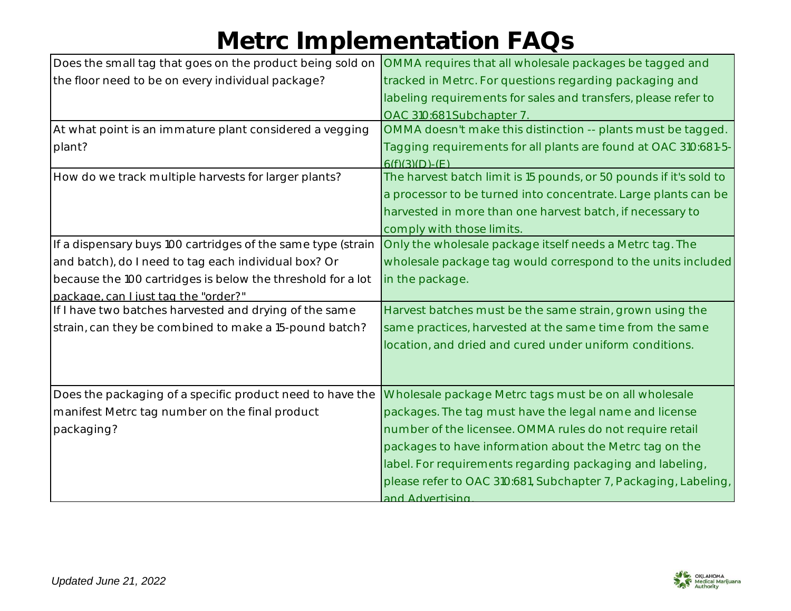| Does the small tag that goes on the product being sold on    | OMMA requires that all wholesale packages be tagged and            |
|--------------------------------------------------------------|--------------------------------------------------------------------|
| the floor need to be on every individual package?            | tracked in Metrc. For questions regarding packaging and            |
|                                                              | labeling requirements for sales and transfers, please refer to     |
|                                                              | OAC 310:681 Subchapter 7.                                          |
| At what point is an immature plant considered a vegging      | OMMA doesn't make this distinction -- plants must be tagged.       |
| plant?                                                       | Tagging requirements for all plants are found at OAC 310:681-5-    |
|                                                              | $6(f)(3)(D)-(E)$                                                   |
| How do we track multiple harvests for larger plants?         | The harvest batch limit is 15 pounds, or 50 pounds if it's sold to |
|                                                              | a processor to be turned into concentrate. Large plants can be     |
|                                                              | harvested in more than one harvest batch, if necessary to          |
|                                                              | comply with those limits.                                          |
| If a dispensary buys 100 cartridges of the same type (strain | Only the wholesale package itself needs a Metrc tag. The           |
| and batch), do I need to tag each individual box? Or         | wholesale package tag would correspond to the units included       |
| because the 100 cartridges is below the threshold for a lot  | in the package.                                                    |
| package, can I just tag the "order?"                         |                                                                    |
| If I have two batches harvested and drying of the same       | Harvest batches must be the same strain, grown using the           |
| strain, can they be combined to make a 15-pound batch?       | same practices, harvested at the same time from the same           |
|                                                              | location, and dried and cured under uniform conditions.            |
|                                                              |                                                                    |
|                                                              |                                                                    |
| Does the packaging of a specific product need to have the    | Wholesale package Metrc tags must be on all wholesale              |
| manifest Metrc tag number on the final product               | packages. The tag must have the legal name and license             |
| packaging?                                                   | number of the licensee. OMMA rules do not require retail           |
|                                                              | packages to have information about the Metrc tag on the            |
|                                                              | label. For requirements regarding packaging and labeling,          |
|                                                              | please refer to OAC 310:681, Subchapter 7, Packaging, Labeling,    |
|                                                              | and Advertising                                                    |

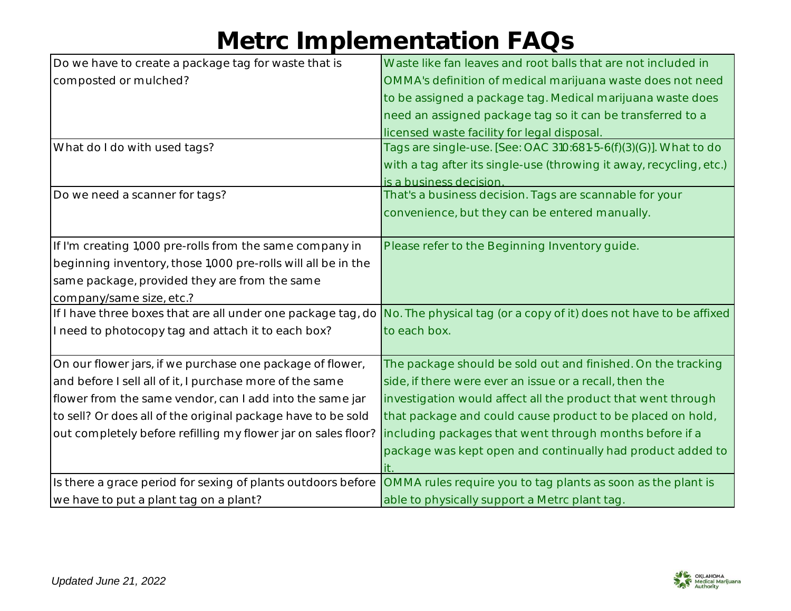| Do we have to create a package tag for waste that is          | Waste like fan leaves and root balls that are not included in                                                                   |
|---------------------------------------------------------------|---------------------------------------------------------------------------------------------------------------------------------|
| composted or mulched?                                         | OMMA's definition of medical marijuana waste does not need                                                                      |
|                                                               | to be assigned a package tag. Medical marijuana waste does                                                                      |
|                                                               | need an assigned package tag so it can be transferred to a                                                                      |
|                                                               | licensed waste facility for legal disposal.                                                                                     |
| What do I do with used tags?                                  | Tags are single-use. [See: OAC 310:681-5-6(f)(3)(G)]. What to do                                                                |
|                                                               | with a tag after its single-use (throwing it away, recycling, etc.)                                                             |
|                                                               | is a business decision.                                                                                                         |
| Do we need a scanner for tags?                                | That's a business decision. Tags are scannable for your                                                                         |
|                                                               | convenience, but they can be entered manually.                                                                                  |
|                                                               |                                                                                                                                 |
| If I'm creating 1,000 pre-rolls from the same company in      | Please refer to the Beginning Inventory guide.                                                                                  |
| beginning inventory, those 1,000 pre-rolls will all be in the |                                                                                                                                 |
| same package, provided they are from the same                 |                                                                                                                                 |
| company/same size, etc.?                                      |                                                                                                                                 |
|                                                               | If I have three boxes that are all under one package tag, do No. The physical tag (or a copy of it) does not have to be affixed |
| I need to photocopy tag and attach it to each box?            | to each box.                                                                                                                    |
|                                                               |                                                                                                                                 |
| On our flower jars, if we purchase one package of flower,     | The package should be sold out and finished. On the tracking                                                                    |
| and before I sell all of it, I purchase more of the same      | side, if there were ever an issue or a recall, then the                                                                         |
| flower from the same vendor, can I add into the same jar      | investigation would affect all the product that went through                                                                    |
| to sell? Or does all of the original package have to be sold  | that package and could cause product to be placed on hold,                                                                      |
| out completely before refilling my flower jar on sales floor? | including packages that went through months before if a                                                                         |
|                                                               | package was kept open and continually had product added to                                                                      |
|                                                               |                                                                                                                                 |
| Is there a grace period for sexing of plants outdoors before  | OMMA rules require you to tag plants as soon as the plant is                                                                    |
| we have to put a plant tag on a plant?                        | able to physically support a Metrc plant tag.                                                                                   |

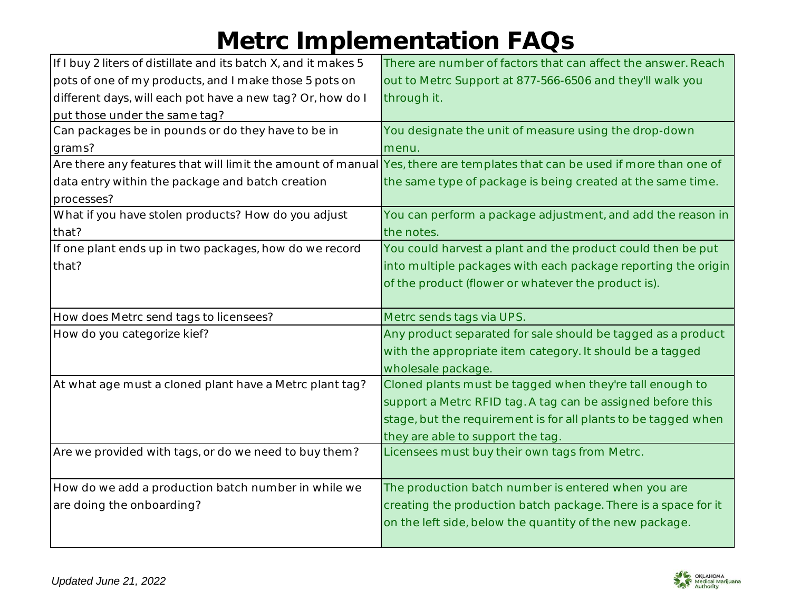| If I buy 2 liters of distillate and its batch X, and it makes 5 | There are number of factors that can affect the answer. Reach                                                             |
|-----------------------------------------------------------------|---------------------------------------------------------------------------------------------------------------------------|
| pots of one of my products, and I make those 5 pots on          | out to Metrc Support at 877-566-6506 and they'll walk you                                                                 |
| different days, will each pot have a new tag? Or, how do I      | through it.                                                                                                               |
| put those under the same tag?                                   |                                                                                                                           |
| Can packages be in pounds or do they have to be in              | You designate the unit of measure using the drop-down                                                                     |
| grams?                                                          | menu.                                                                                                                     |
|                                                                 | Are there any features that will limit the amount of manual Yes, there are templates that can be used if more than one of |
| data entry within the package and batch creation                | the same type of package is being created at the same time.                                                               |
| processes?                                                      |                                                                                                                           |
| What if you have stolen products? How do you adjust             | You can perform a package adjustment, and add the reason in                                                               |
| that?                                                           | the notes.                                                                                                                |
| If one plant ends up in two packages, how do we record          | You could harvest a plant and the product could then be put                                                               |
| that?                                                           | into multiple packages with each package reporting the origin                                                             |
|                                                                 | of the product (flower or whatever the product is).                                                                       |
|                                                                 |                                                                                                                           |
| How does Metrc send tags to licensees?                          | Metrc sends tags via UPS.                                                                                                 |
| How do you categorize kief?                                     | Any product separated for sale should be tagged as a product                                                              |
|                                                                 |                                                                                                                           |
|                                                                 | with the appropriate item category. It should be a tagged                                                                 |
|                                                                 | wholesale package.                                                                                                        |
| At what age must a cloned plant have a Metrc plant tag?         | Cloned plants must be tagged when they're tall enough to                                                                  |
|                                                                 | support a Metrc RFID tag. A tag can be assigned before this                                                               |
|                                                                 | stage, but the requirement is for all plants to be tagged when                                                            |
|                                                                 | they are able to support the tag.                                                                                         |
| Are we provided with tags, or do we need to buy them?           | Licensees must buy their own tags from Metrc.                                                                             |
|                                                                 |                                                                                                                           |
| How do we add a production batch number in while we             | The production batch number is entered when you are                                                                       |
| are doing the onboarding?                                       | creating the production batch package. There is a space for it                                                            |
|                                                                 | on the left side, below the quantity of the new package.                                                                  |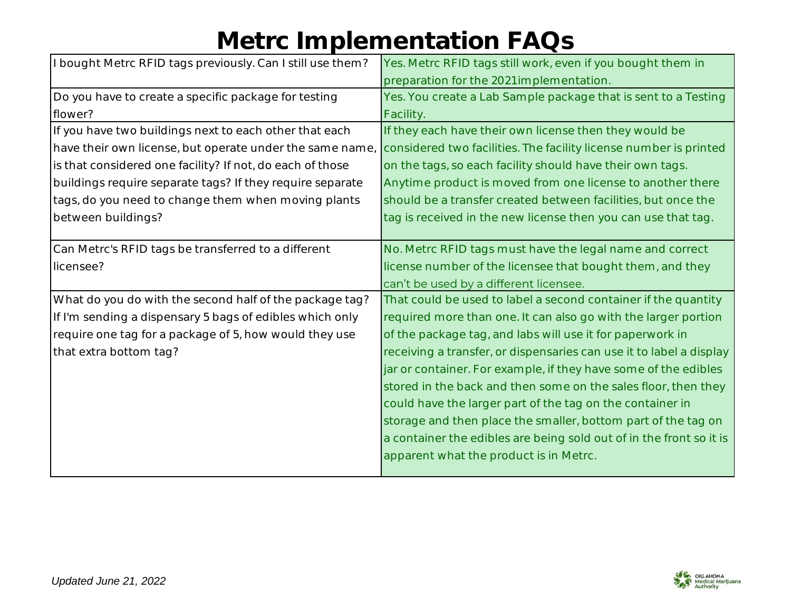| I bought Metrc RFID tags previously. Can I still use them? | Yes. Metrc RFID tags still work, even if you bought them in         |
|------------------------------------------------------------|---------------------------------------------------------------------|
|                                                            | preparation for the 2021 implementation.                            |
| Do you have to create a specific package for testing       | Yes. You create a Lab Sample package that is sent to a Testing      |
| flower?                                                    | Facility.                                                           |
| If you have two buildings next to each other that each     | If they each have their own license then they would be              |
| have their own license, but operate under the same name,   | considered two facilities. The facility license number is printed   |
| is that considered one facility? If not, do each of those  | on the tags, so each facility should have their own tags.           |
| buildings require separate tags? If they require separate  | Anytime product is moved from one license to another there          |
| tags, do you need to change them when moving plants        | should be a transfer created between facilities, but once the       |
| between buildings?                                         | tag is received in the new license then you can use that tag.       |
|                                                            |                                                                     |
| Can Metrc's RFID tags be transferred to a different        | No. Metrc RFID tags must have the legal name and correct            |
| licensee?                                                  | license number of the licensee that bought them, and they           |
|                                                            | can't be used by a different licensee.                              |
| What do you do with the second half of the package tag?    | That could be used to label a second container if the quantity      |
| If I'm sending a dispensary 5 bags of edibles which only   | required more than one. It can also go with the larger portion      |
| require one tag for a package of 5, how would they use     | of the package tag, and labs will use it for paperwork in           |
| that extra bottom tag?                                     | receiving a transfer, or dispensaries can use it to label a display |
|                                                            | jar or container. For example, if they have some of the edibles     |
|                                                            | stored in the back and then some on the sales floor, then they      |
|                                                            | could have the larger part of the tag on the container in           |
|                                                            | storage and then place the smaller, bottom part of the tag on       |
|                                                            | a container the edibles are being sold out of in the front so it is |
|                                                            | apparent what the product is in Metrc.                              |
|                                                            |                                                                     |

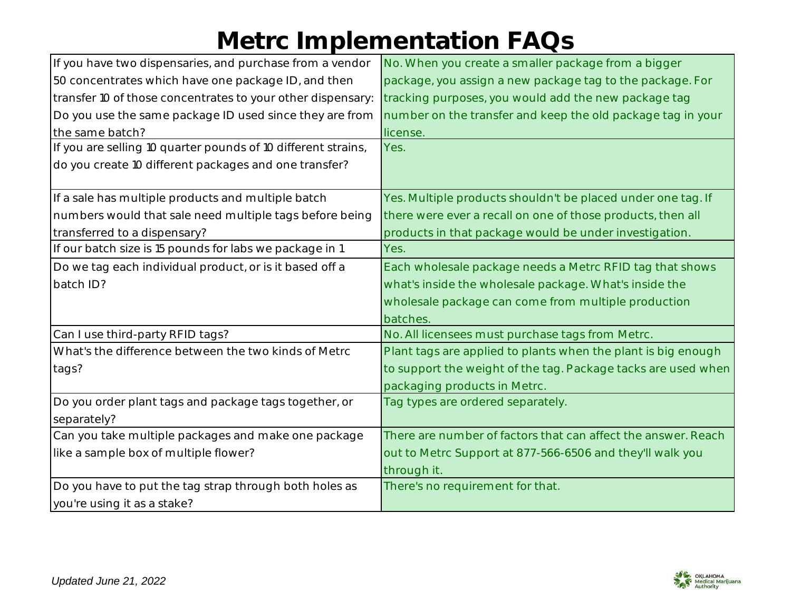| If you have two dispensaries, and purchase from a vendor      | No. When you create a smaller package from a bigger           |
|---------------------------------------------------------------|---------------------------------------------------------------|
| 50 concentrates which have one package ID, and then           | package, you assign a new package tag to the package. For     |
| transfer 10 of those concentrates to your other dispensary:   | tracking purposes, you would add the new package tag          |
| Do you use the same package ID used since they are from       | number on the transfer and keep the old package tag in your   |
| the same batch?                                               | license.                                                      |
| If you are selling 10 quarter pounds of 10 different strains, | Yes.                                                          |
| do you create 10 different packages and one transfer?         |                                                               |
| If a sale has multiple products and multiple batch            | Yes. Multiple products shouldn't be placed under one tag. If  |
| numbers would that sale need multiple tags before being       | there were ever a recall on one of those products, then all   |
| transferred to a dispensary?                                  | products in that package would be under investigation.        |
| If our batch size is 15 pounds for labs we package in 1       | Yes.                                                          |
| Do we tag each individual product, or is it based off a       | Each wholesale package needs a Metrc RFID tag that shows      |
| batch ID?                                                     | what's inside the wholesale package. What's inside the        |
|                                                               | wholesale package can come from multiple production           |
|                                                               | batches.                                                      |
| Can I use third-party RFID tags?                              | No. All licensees must purchase tags from Metrc.              |
| What's the difference between the two kinds of Metrc          | Plant tags are applied to plants when the plant is big enough |
| tags?                                                         | to support the weight of the tag. Package tacks are used when |
|                                                               | packaging products in Metrc.                                  |
| Do you order plant tags and package tags together, or         | Tag types are ordered separately.                             |
| separately?                                                   |                                                               |
| Can you take multiple packages and make one package           | There are number of factors that can affect the answer. Reach |
| like a sample box of multiple flower?                         | out to Metrc Support at 877-566-6506 and they'll walk you     |
|                                                               | through it.                                                   |
| Do you have to put the tag strap through both holes as        | There's no requirement for that.                              |
| you're using it as a stake?                                   |                                                               |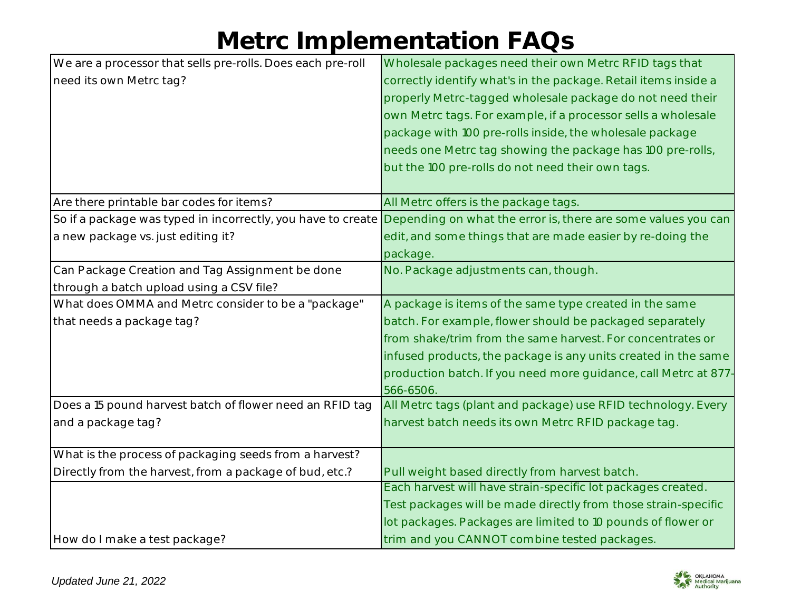| We are a processor that sells pre-rolls. Does each pre-roll  | Wholesale packages need their own Metrc RFID tags that          |
|--------------------------------------------------------------|-----------------------------------------------------------------|
| need its own Metrc tag?                                      | correctly identify what's in the package. Retail items inside a |
|                                                              | properly Metrc-tagged wholesale package do not need their       |
|                                                              | own Metrc tags. For example, if a processor sells a wholesale   |
|                                                              | package with 100 pre-rolls inside, the wholesale package        |
|                                                              | needs one Metrc tag showing the package has 100 pre-rolls,      |
|                                                              | but the 100 pre-rolls do not need their own tags.               |
|                                                              |                                                                 |
| Are there printable bar codes for items?                     | All Metrc offers is the package tags.                           |
| So if a package was typed in incorrectly, you have to create | Depending on what the error is, there are some values you can   |
| a new package vs. just editing it?                           | edit, and some things that are made easier by re-doing the      |
|                                                              | package.                                                        |
| Can Package Creation and Tag Assignment be done              | No. Package adjustments can, though.                            |
| through a batch upload using a CSV file?                     |                                                                 |
| What does OMMA and Metrc consider to be a "package"          | A package is items of the same type created in the same         |
| that needs a package tag?                                    | batch. For example, flower should be packaged separately        |
|                                                              | from shake/trim from the same harvest. For concentrates or      |
|                                                              | infused products, the package is any units created in the same  |
|                                                              | production batch. If you need more guidance, call Metrc at 877- |
|                                                              | 566-6506.                                                       |
| Does a 15 pound harvest batch of flower need an RFID tag     | All Metrc tags (plant and package) use RFID technology. Every   |
| and a package tag?                                           | harvest batch needs its own Metrc RFID package tag.             |
|                                                              |                                                                 |
| What is the process of packaging seeds from a harvest?       |                                                                 |
| Directly from the harvest, from a package of bud, etc.?      | Pull weight based directly from harvest batch.                  |
|                                                              | Each harvest will have strain-specific lot packages created.    |
|                                                              | Test packages will be made directly from those strain-specific  |
|                                                              | lot packages. Packages are limited to 10 pounds of flower or    |
| How do I make a test package?                                | trim and you CANNOT combine tested packages.                    |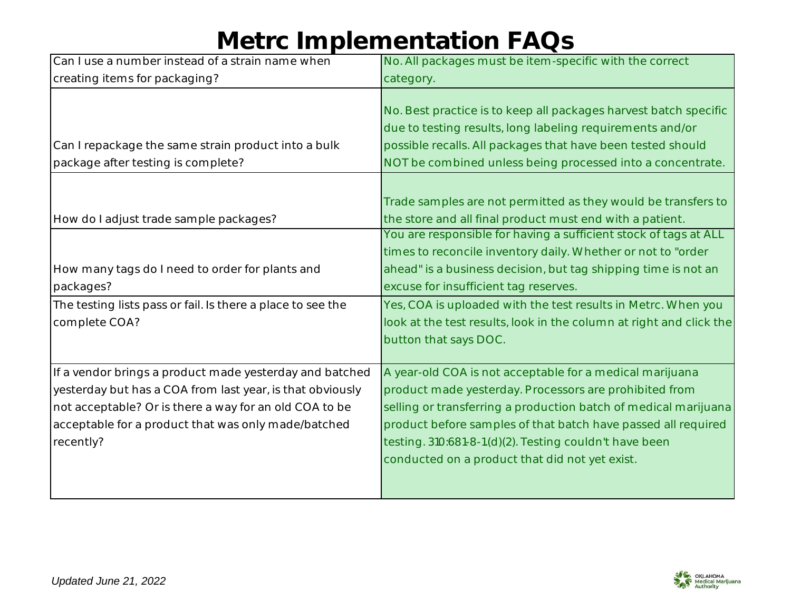| Can I use a number instead of a strain name when                                                                                                                                                                                                   | No. All packages must be item-specific with the correct                                                                                                                                                                                                                                                                                                             |
|----------------------------------------------------------------------------------------------------------------------------------------------------------------------------------------------------------------------------------------------------|---------------------------------------------------------------------------------------------------------------------------------------------------------------------------------------------------------------------------------------------------------------------------------------------------------------------------------------------------------------------|
| creating items for packaging?                                                                                                                                                                                                                      | category.                                                                                                                                                                                                                                                                                                                                                           |
| Can I repackage the same strain product into a bulk<br>package after testing is complete?                                                                                                                                                          | No. Best practice is to keep all packages harvest batch specific<br>due to testing results, long labeling requirements and/or<br>possible recalls. All packages that have been tested should<br>NOT be combined unless being processed into a concentrate.                                                                                                          |
| How do I adjust trade sample packages?                                                                                                                                                                                                             | Trade samples are not permitted as they would be transfers to<br>the store and all final product must end with a patient.<br>You are responsible for having a sufficient stock of tags at ALL                                                                                                                                                                       |
|                                                                                                                                                                                                                                                    | times to reconcile inventory daily. Whether or not to "order                                                                                                                                                                                                                                                                                                        |
| How many tags do I need to order for plants and<br>packages?                                                                                                                                                                                       | ahead" is a business decision, but tag shipping time is not an<br>excuse for insufficient tag reserves.                                                                                                                                                                                                                                                             |
| The testing lists pass or fail. Is there a place to see the<br>complete COA?                                                                                                                                                                       | Yes, COA is uploaded with the test results in Metrc. When you<br>look at the test results, look in the column at right and click the<br>button that says DOC.                                                                                                                                                                                                       |
| If a vendor brings a product made yesterday and batched<br>yesterday but has a COA from last year, is that obviously<br>not acceptable? Or is there a way for an old COA to be<br>acceptable for a product that was only made/batched<br>recently? | A year-old COA is not acceptable for a medical marijuana<br>product made yesterday. Processors are prohibited from<br>selling or transferring a production batch of medical marijuana<br>product before samples of that batch have passed all required<br>testing. 310:681-8-1.(d)(2). Testing couldn't have been<br>conducted on a product that did not yet exist. |

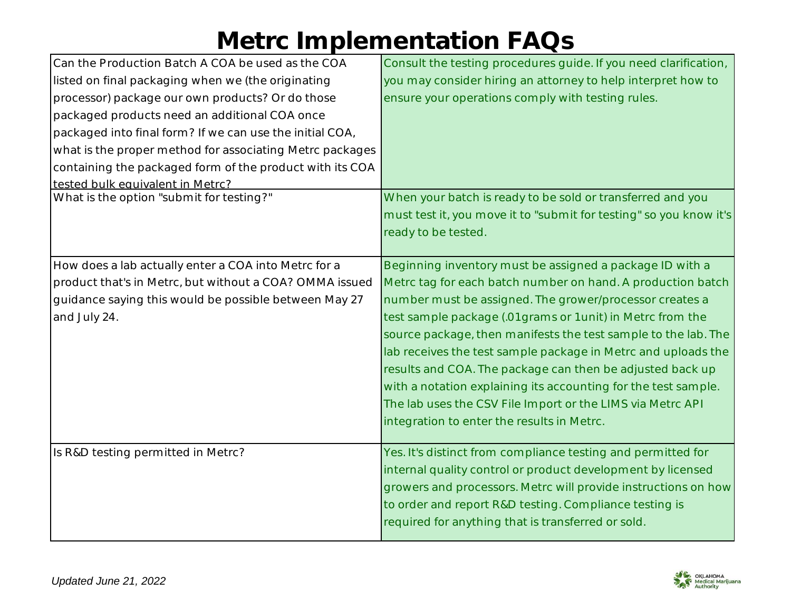| Can the Production Batch A COA be used as the COA        | Consult the testing procedures guide. If you need clarification,   |
|----------------------------------------------------------|--------------------------------------------------------------------|
| listed on final packaging when we (the originating       | you may consider hiring an attorney to help interpret how to       |
| processor) package our own products? Or do those         | ensure your operations comply with testing rules.                  |
| packaged products need an additional COA once            |                                                                    |
| packaged into final form? If we can use the initial COA, |                                                                    |
| what is the proper method for associating Metrc packages |                                                                    |
| containing the packaged form of the product with its COA |                                                                    |
| tested bulk equivalent in Metrc?                         |                                                                    |
| What is the option "submit for testing?"                 | When your batch is ready to be sold or transferred and you         |
|                                                          | must test it, you move it to "submit for testing" so you know it's |
|                                                          | ready to be tested.                                                |
|                                                          |                                                                    |
| How does a lab actually enter a COA into Metrc for a     | Beginning inventory must be assigned a package ID with a           |
| product that's in Metrc, but without a COA? OMMA issued  | Metrc tag for each batch number on hand. A production batch        |
| guidance saying this would be possible between May 27    | number must be assigned. The grower/processor creates a            |
| and July 24.                                             | test sample package (.01 grams or 1 unit) in Metrc from the        |
|                                                          | source package, then manifests the test sample to the lab. The     |
|                                                          | lab receives the test sample package in Metrc and uploads the      |
|                                                          | results and COA. The package can then be adjusted back up          |
|                                                          | with a notation explaining its accounting for the test sample.     |
|                                                          | The lab uses the CSV File Import or the LIMS via Metrc API         |
|                                                          | integration to enter the results in Metrc.                         |
|                                                          |                                                                    |
| Is R&D testing permitted in Metrc?                       | Yes. It's distinct from compliance testing and permitted for       |
|                                                          | internal quality control or product development by licensed        |
|                                                          | growers and processors. Metrc will provide instructions on how     |
|                                                          | to order and report R&D testing. Compliance testing is             |
|                                                          | required for anything that is transferred or sold.                 |
|                                                          |                                                                    |

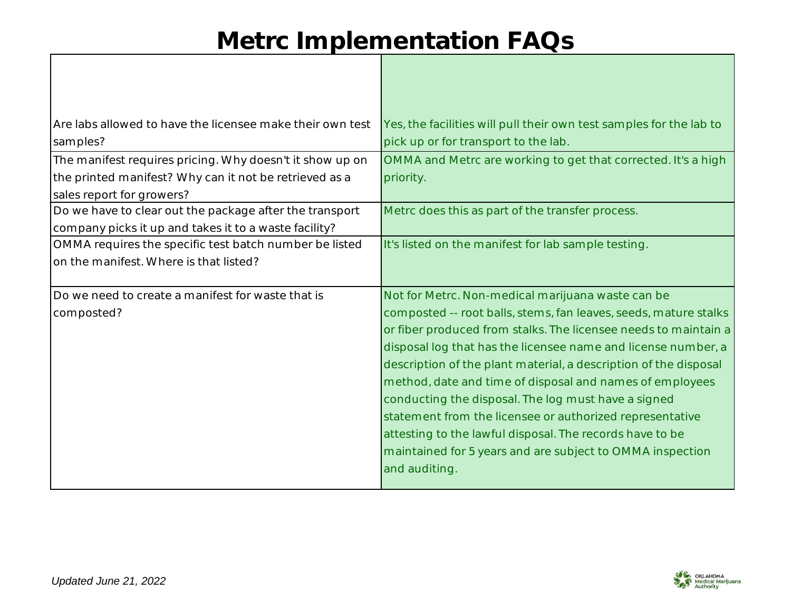| Are labs allowed to have the licensee make their own test | Yes, the facilities will pull their own test samples for the lab to |
|-----------------------------------------------------------|---------------------------------------------------------------------|
| samples?                                                  | pick up or for transport to the lab.                                |
| The manifest requires pricing. Why doesn't it show up on  | OMMA and Metrc are working to get that corrected. It's a high       |
| the printed manifest? Why can it not be retrieved as a    | priority.                                                           |
| sales report for growers?                                 |                                                                     |
| Do we have to clear out the package after the transport   | Metrc does this as part of the transfer process.                    |
| company picks it up and takes it to a waste facility?     |                                                                     |
| OMMA requires the specific test batch number be listed    | It's listed on the manifest for lab sample testing.                 |
| on the manifest. Where is that listed?                    |                                                                     |
|                                                           |                                                                     |
| Do we need to create a manifest for waste that is         | Not for Metrc. Non-medical marijuana waste can be                   |
| composted?                                                | composted -- root balls, stems, fan leaves, seeds, mature stalks    |
|                                                           | or fiber produced from stalks. The licensee needs to maintain a     |
|                                                           | disposal log that has the licensee name and license number, a       |
|                                                           | description of the plant material, a description of the disposal    |
|                                                           | method, date and time of disposal and names of employees            |
|                                                           | conducting the disposal. The log must have a signed                 |
|                                                           | statement from the licensee or authorized representative            |
|                                                           | attesting to the lawful disposal. The records have to be            |
|                                                           | maintained for 5 years and are subject to OMMA inspection           |
|                                                           |                                                                     |
|                                                           | and auditing.                                                       |

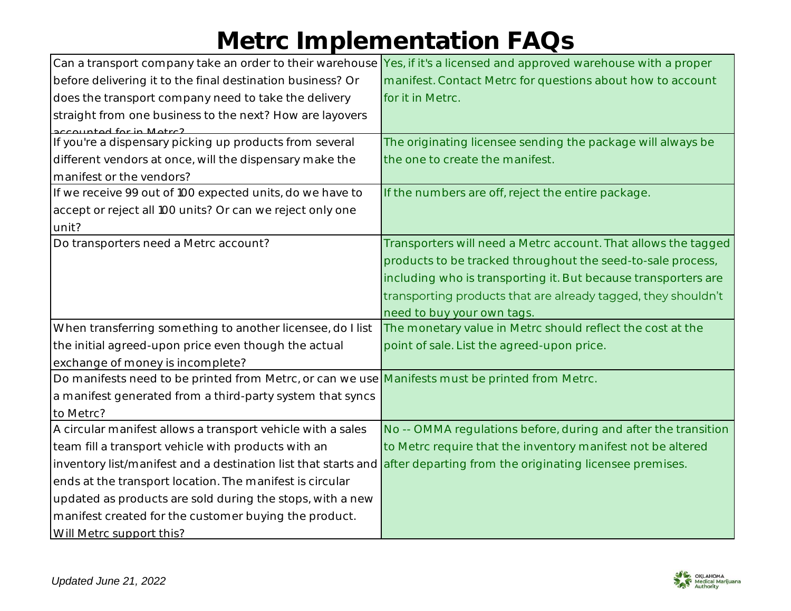|                                                                                                                        | Can a transport company take an order to their warehouse Yes, if it's a licensed and approved warehouse with a proper |
|------------------------------------------------------------------------------------------------------------------------|-----------------------------------------------------------------------------------------------------------------------|
| before delivering it to the final destination business? Or                                                             | manifest. Contact Metrc for questions about how to account                                                            |
| does the transport company need to take the delivery                                                                   | for it in Metrc.                                                                                                      |
| straight from one business to the next? How are layovers                                                               |                                                                                                                       |
| counted for in Motro2                                                                                                  |                                                                                                                       |
| If you're a dispensary picking up products from several                                                                | The originating licensee sending the package will always be                                                           |
| different vendors at once, will the dispensary make the                                                                | the one to create the manifest.                                                                                       |
| manifest or the vendors?                                                                                               |                                                                                                                       |
| If we receive 99 out of 100 expected units, do we have to                                                              | If the numbers are off, reject the entire package.                                                                    |
| accept or reject all 100 units? Or can we reject only one                                                              |                                                                                                                       |
| unit?                                                                                                                  |                                                                                                                       |
| Do transporters need a Metrc account?                                                                                  | Transporters will need a Metrc account. That allows the tagged                                                        |
|                                                                                                                        | products to be tracked throughout the seed-to-sale process,                                                           |
|                                                                                                                        | including who is transporting it. But because transporters are                                                        |
|                                                                                                                        | transporting products that are already tagged, they shouldn't                                                         |
|                                                                                                                        | need to buy your own tags.                                                                                            |
| When transferring something to another licensee, do I list                                                             | The monetary value in Metrc should reflect the cost at the                                                            |
| the initial agreed-upon price even though the actual                                                                   | point of sale. List the agreed-upon price.                                                                            |
| exchange of money is incomplete?                                                                                       |                                                                                                                       |
| Do manifests need to be printed from Metrc, or can we use Manifests must be printed from Metrc.                        |                                                                                                                       |
| a manifest generated from a third-party system that syncs                                                              |                                                                                                                       |
| to Metrc?                                                                                                              |                                                                                                                       |
| A circular manifest allows a transport vehicle with a sales                                                            | No -- OMMA regulations before, during and after the transition                                                        |
| team fill a transport vehicle with products with an                                                                    | to Metrc require that the inventory manifest not be altered                                                           |
| inventory list/manifest and a destination list that starts and after departing from the originating licensee premises. |                                                                                                                       |
| ends at the transport location. The manifest is circular                                                               |                                                                                                                       |
| updated as products are sold during the stops, with a new                                                              |                                                                                                                       |
| manifest created for the customer buying the product.                                                                  |                                                                                                                       |
| Will Metrc support this?                                                                                               |                                                                                                                       |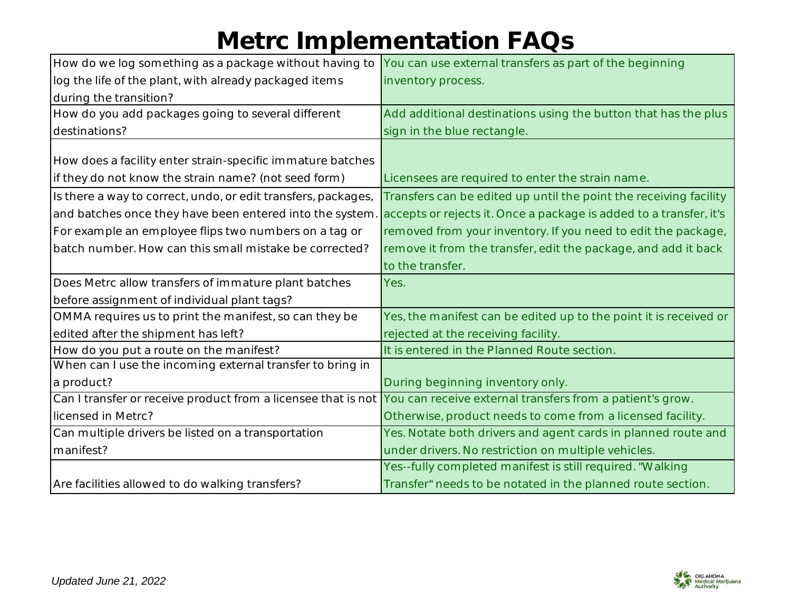| How do we log something as a package without having to        | You can use external transfers as part of the beginning            |
|---------------------------------------------------------------|--------------------------------------------------------------------|
| log the life of the plant, with already packaged items        | inventory process.                                                 |
| during the transition?                                        |                                                                    |
| How do you add packages going to several different            | Add additional destinations using the button that has the plus     |
| destinations?                                                 | sign in the blue rectangle.                                        |
|                                                               |                                                                    |
| How does a facility enter strain-specific immature batches    |                                                                    |
| if they do not know the strain name? (not seed form)          | Licensees are required to enter the strain name.                   |
| Is there a way to correct, undo, or edit transfers, packages, | Transfers can be edited up until the point the receiving facility  |
| and batches once they have been entered into the system.      | accepts or rejects it. Once a package is added to a transfer, it's |
| For example an employee flips two numbers on a tag or         | removed from your inventory. If you need to edit the package,      |
| batch number. How can this small mistake be corrected?        | remove it from the transfer, edit the package, and add it back     |
|                                                               | to the transfer.                                                   |
|                                                               |                                                                    |
| Does Metrc allow transfers of immature plant batches          | Yes.                                                               |
| before assignment of individual plant tags?                   |                                                                    |
| OMMA requires us to print the manifest, so can they be        | Yes, the manifest can be edited up to the point it is received or  |
| edited after the shipment has left?                           | rejected at the receiving facility.                                |
| How do you put a route on the manifest?                       | It is entered in the Planned Route section.                        |
| When can I use the incoming external transfer to bring in     |                                                                    |
| a product?                                                    | During beginning inventory only.                                   |
| Can I transfer or receive product from a licensee that is not | You can receive external transfers from a patient's grow.          |
| licensed in Metrc?                                            | Otherwise, product needs to come from a licensed facility.         |
| Can multiple drivers be listed on a transportation            | Yes. Notate both drivers and agent cards in planned route and      |
| manifest?                                                     | under drivers. No restriction on multiple vehicles.                |
|                                                               | Yes--fully completed manifest is still required. "Walking          |

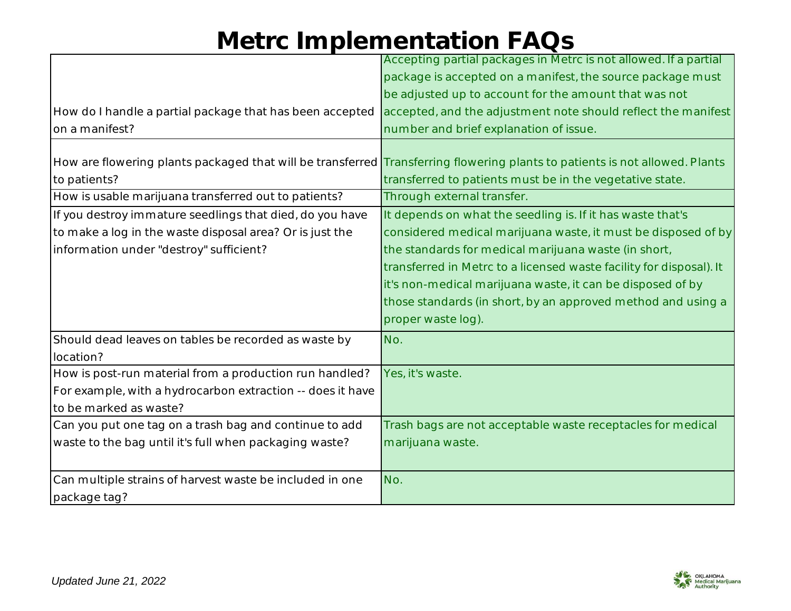|                                                            | Accepting partial packages in Metrc is not allowed. If a partial                                                            |
|------------------------------------------------------------|-----------------------------------------------------------------------------------------------------------------------------|
|                                                            | package is accepted on a manifest, the source package must                                                                  |
|                                                            | be adjusted up to account for the amount that was not                                                                       |
| How do I handle a partial package that has been accepted   | accepted, and the adjustment note should reflect the manifest                                                               |
| on a manifest?                                             | number and brief explanation of issue.                                                                                      |
|                                                            |                                                                                                                             |
|                                                            | How are flowering plants packaged that will be transferred Transferring flowering plants to patients is not allowed. Plants |
| to patients?                                               | transferred to patients must be in the vegetative state.                                                                    |
| How is usable marijuana transferred out to patients?       | Through external transfer.                                                                                                  |
| If you destroy immature seedlings that died, do you have   | It depends on what the seedling is. If it has waste that's                                                                  |
| to make a log in the waste disposal area? Or is just the   | considered medical marijuana waste, it must be disposed of by                                                               |
| information under "destroy" sufficient?                    | the standards for medical marijuana waste (in short,                                                                        |
|                                                            | transferred in Metrc to a licensed waste facility for disposal). It                                                         |
|                                                            | it's non-medical marijuana waste, it can be disposed of by                                                                  |
|                                                            | those standards (in short, by an approved method and using a                                                                |
|                                                            | proper waste log).                                                                                                          |
| Should dead leaves on tables be recorded as waste by       | No.                                                                                                                         |
| location?                                                  |                                                                                                                             |
| How is post-run material from a production run handled?    | Yes, it's waste.                                                                                                            |
| For example, with a hydrocarbon extraction -- does it have |                                                                                                                             |
| to be marked as waste?                                     |                                                                                                                             |
| Can you put one tag on a trash bag and continue to add     | Trash bags are not acceptable waste receptacles for medical                                                                 |
| waste to the bag until it's full when packaging waste?     | marijuana waste.                                                                                                            |
|                                                            |                                                                                                                             |
| Can multiple strains of harvest waste be included in one   | No.                                                                                                                         |
| package tag?                                               |                                                                                                                             |

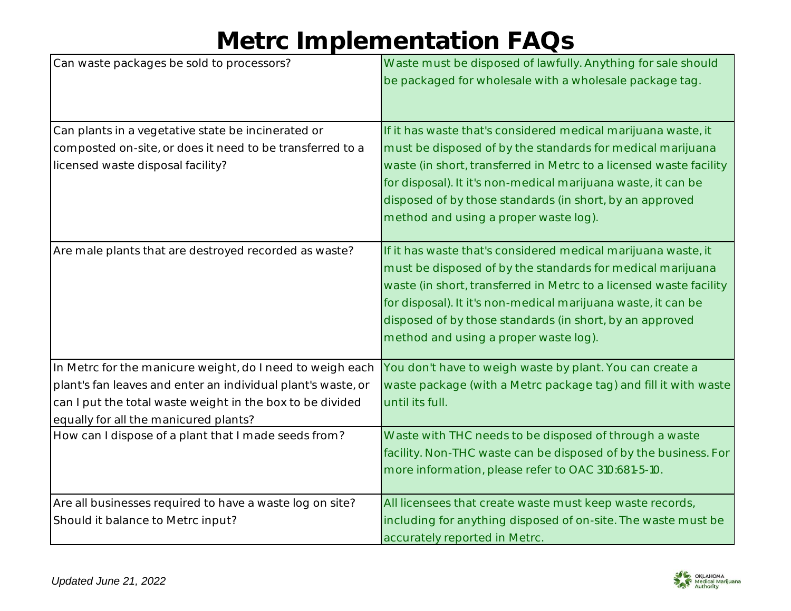| Can waste packages be sold to processors?                    | Waste must be disposed of lawfully. Anything for sale should<br>be packaged for wholesale with a wholesale package tag.                                                                                                                                                                                                                                                 |
|--------------------------------------------------------------|-------------------------------------------------------------------------------------------------------------------------------------------------------------------------------------------------------------------------------------------------------------------------------------------------------------------------------------------------------------------------|
| Can plants in a vegetative state be incinerated or           | If it has waste that's considered medical marijuana waste, it                                                                                                                                                                                                                                                                                                           |
| composted on-site, or does it need to be transferred to a    | must be disposed of by the standards for medical marijuana                                                                                                                                                                                                                                                                                                              |
| licensed waste disposal facility?                            | waste (in short, transferred in Metrc to a licensed waste facility                                                                                                                                                                                                                                                                                                      |
|                                                              | for disposal). It it's non-medical marijuana waste, it can be                                                                                                                                                                                                                                                                                                           |
|                                                              | disposed of by those standards (in short, by an approved                                                                                                                                                                                                                                                                                                                |
|                                                              | method and using a proper waste log).                                                                                                                                                                                                                                                                                                                                   |
| Are male plants that are destroyed recorded as waste?        | If it has waste that's considered medical marijuana waste, it<br>must be disposed of by the standards for medical marijuana<br>waste (in short, transferred in Metrc to a licensed waste facility<br>for disposal). It it's non-medical marijuana waste, it can be<br>disposed of by those standards (in short, by an approved<br>method and using a proper waste log). |
| In Metrc for the manicure weight, do I need to weigh each    | You don't have to weigh waste by plant. You can create a                                                                                                                                                                                                                                                                                                                |
| plant's fan leaves and enter an individual plant's waste, or | waste package (with a Metrc package tag) and fill it with waste                                                                                                                                                                                                                                                                                                         |
| can I put the total waste weight in the box to be divided    | until its full.                                                                                                                                                                                                                                                                                                                                                         |
| equally for all the manicured plants?                        |                                                                                                                                                                                                                                                                                                                                                                         |
| How can I dispose of a plant that I made seeds from?         | Waste with THC needs to be disposed of through a waste                                                                                                                                                                                                                                                                                                                  |
|                                                              | facility. Non-THC waste can be disposed of by the business. For                                                                                                                                                                                                                                                                                                         |
|                                                              | more information, please refer to OAC 310:681-5-10.                                                                                                                                                                                                                                                                                                                     |
| Are all businesses required to have a waste log on site?     | All licensees that create waste must keep waste records,                                                                                                                                                                                                                                                                                                                |
| Should it balance to Metrc input?                            | including for anything disposed of on-site. The waste must be                                                                                                                                                                                                                                                                                                           |
|                                                              | accurately reported in Metrc.                                                                                                                                                                                                                                                                                                                                           |

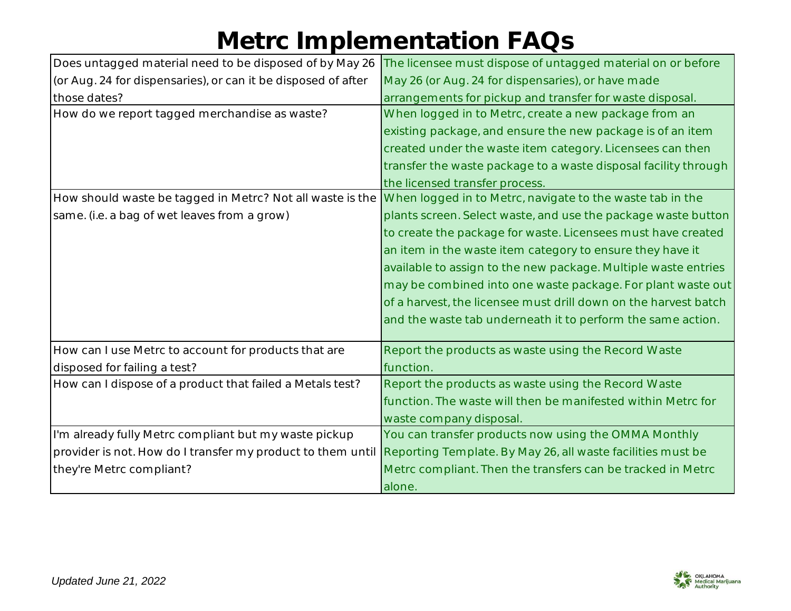| Does untagged material need to be disposed of by May 26       | The licensee must dispose of untagged material on or before     |
|---------------------------------------------------------------|-----------------------------------------------------------------|
| (or Aug. 24 for dispensaries), or can it be disposed of after | May 26 (or Aug. 24 for dispensaries), or have made              |
| those dates?                                                  | arrangements for pickup and transfer for waste disposal.        |
| How do we report tagged merchandise as waste?                 | When logged in to Metrc, create a new package from an           |
|                                                               | existing package, and ensure the new package is of an item      |
|                                                               | created under the waste item category. Licensees can then       |
|                                                               | transfer the waste package to a waste disposal facility through |
|                                                               | the licensed transfer process.                                  |
| How should waste be tagged in Metrc? Not all waste is the     | When logged in to Metrc, navigate to the waste tab in the       |
| same. (i.e. a bag of wet leaves from a grow)                  | plants screen. Select waste, and use the package waste button   |
|                                                               | to create the package for waste. Licensees must have created    |
|                                                               | an item in the waste item category to ensure they have it       |
|                                                               | available to assign to the new package. Multiple waste entries  |
|                                                               | may be combined into one waste package. For plant waste out     |
|                                                               | of a harvest, the licensee must drill down on the harvest batch |
|                                                               | and the waste tab underneath it to perform the same action.     |
|                                                               |                                                                 |
| How can I use Metrc to account for products that are          | Report the products as waste using the Record Waste             |
| disposed for failing a test?                                  | function.                                                       |
| How can I dispose of a product that failed a Metals test?     | Report the products as waste using the Record Waste             |
|                                                               | function. The waste will then be manifested within Metrc for    |
|                                                               | waste company disposal.                                         |
| I'm already fully Metrc compliant but my waste pickup         | You can transfer products now using the OMMA Monthly            |
| provider is not. How do I transfer my product to them until   | Reporting Template. By May 26, all waste facilities must be     |
| they're Metrc compliant?                                      | Metrc compliant. Then the transfers can be tracked in Metrc     |
|                                                               | alone.                                                          |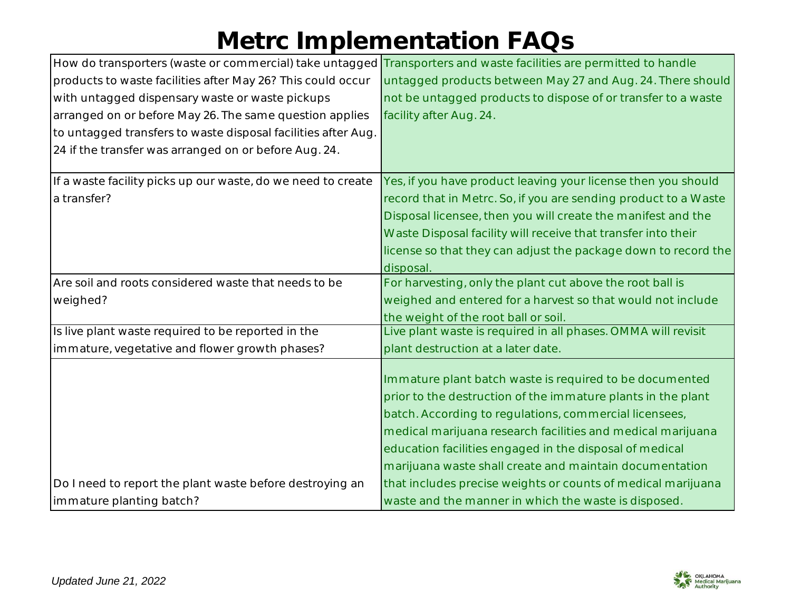| How do transporters (waste or commercial) take untagged Transporters and waste facilities are permitted to handle |                                                                 |
|-------------------------------------------------------------------------------------------------------------------|-----------------------------------------------------------------|
| products to waste facilities after May 26? This could occur                                                       | untagged products between May 27 and Aug. 24. There should      |
| with untagged dispensary waste or waste pickups                                                                   | not be untagged products to dispose of or transfer to a waste   |
| arranged on or before May 26. The same question applies                                                           | facility after Aug. 24.                                         |
| to untagged transfers to waste disposal facilities after Aug.                                                     |                                                                 |
| 24 if the transfer was arranged on or before Aug. 24.                                                             |                                                                 |
|                                                                                                                   |                                                                 |
| If a waste facility picks up our waste, do we need to create                                                      | Yes, if you have product leaving your license then you should   |
| a transfer?                                                                                                       | record that in Metrc. So, if you are sending product to a Waste |
|                                                                                                                   | Disposal licensee, then you will create the manifest and the    |
|                                                                                                                   | Waste Disposal facility will receive that transfer into their   |
|                                                                                                                   | license so that they can adjust the package down to record the  |
|                                                                                                                   | disposal.                                                       |
| Are soil and roots considered waste that needs to be                                                              | For harvesting, only the plant cut above the root ball is       |
| weighed?                                                                                                          | weighed and entered for a harvest so that would not include     |
|                                                                                                                   | the weight of the root ball or soil.                            |
| Is live plant waste required to be reported in the                                                                | Live plant waste is required in all phases. OMMA will revisit   |
| immature, vegetative and flower growth phases?                                                                    | plant destruction at a later date.                              |
|                                                                                                                   |                                                                 |
|                                                                                                                   | Immature plant batch waste is required to be documented         |
|                                                                                                                   | prior to the destruction of the immature plants in the plant    |
|                                                                                                                   | batch. According to regulations, commercial licensees,          |
|                                                                                                                   | medical marijuana research facilities and medical marijuana     |
|                                                                                                                   | education facilities engaged in the disposal of medical         |
|                                                                                                                   | marijuana waste shall create and maintain documentation         |
| Do I need to report the plant waste before destroying an                                                          | that includes precise weights or counts of medical marijuana    |
| immature planting batch?                                                                                          | waste and the manner in which the waste is disposed.            |